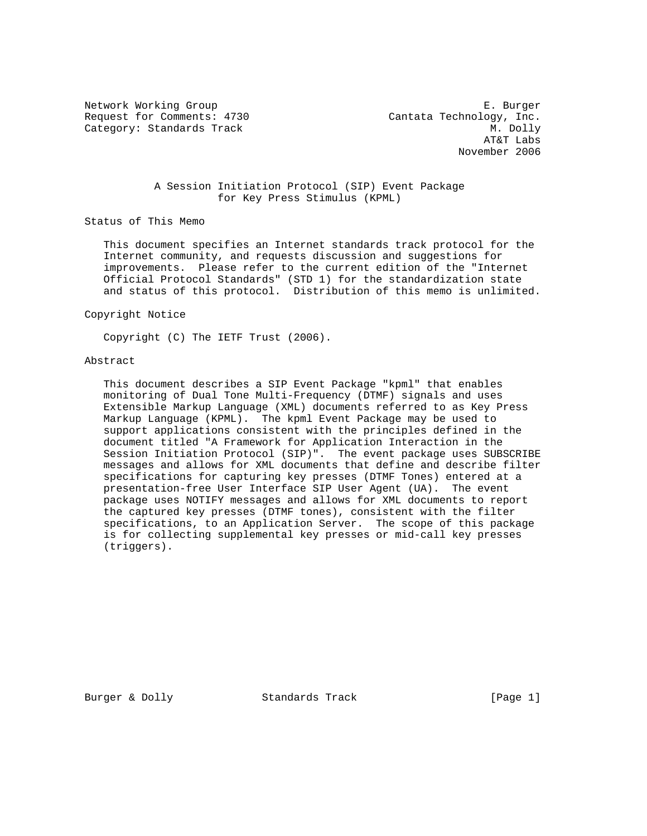Request for Comments: 4730 Cantata Technology, Inc. Category: Standards Track M. Dolly

Network Working Group **E. Burger**  AT&T Labs November 2006

# A Session Initiation Protocol (SIP) Event Package for Key Press Stimulus (KPML)

Status of This Memo

 This document specifies an Internet standards track protocol for the Internet community, and requests discussion and suggestions for improvements. Please refer to the current edition of the "Internet Official Protocol Standards" (STD 1) for the standardization state and status of this protocol. Distribution of this memo is unlimited.

Copyright Notice

Copyright (C) The IETF Trust (2006).

# Abstract

 This document describes a SIP Event Package "kpml" that enables monitoring of Dual Tone Multi-Frequency (DTMF) signals and uses Extensible Markup Language (XML) documents referred to as Key Press Markup Language (KPML). The kpml Event Package may be used to support applications consistent with the principles defined in the document titled "A Framework for Application Interaction in the Session Initiation Protocol (SIP)". The event package uses SUBSCRIBE messages and allows for XML documents that define and describe filter specifications for capturing key presses (DTMF Tones) entered at a presentation-free User Interface SIP User Agent (UA). The event package uses NOTIFY messages and allows for XML documents to report the captured key presses (DTMF tones), consistent with the filter specifications, to an Application Server. The scope of this package is for collecting supplemental key presses or mid-call key presses (triggers).

Burger & Dolly Standards Track [Page 1]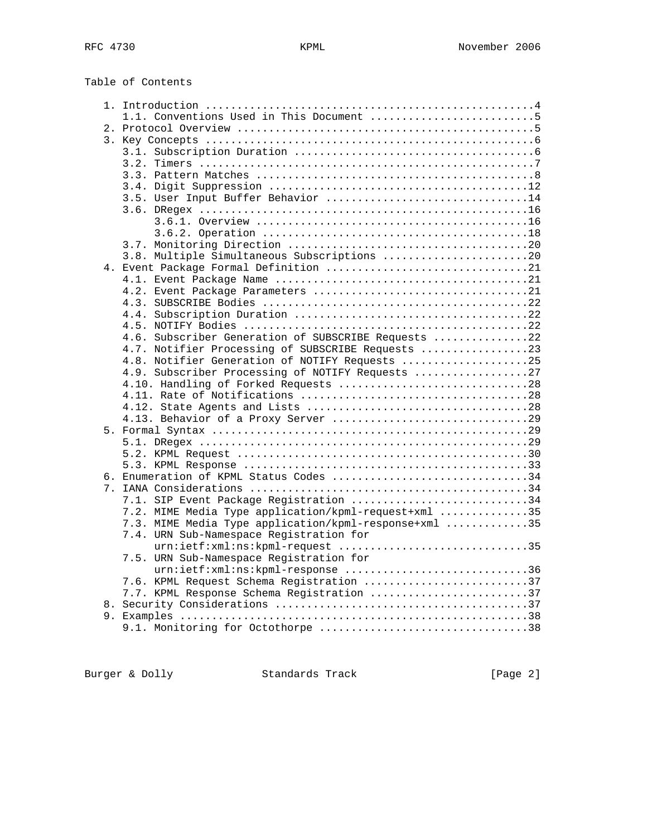| Table of Contents |  |  |  |
|-------------------|--|--|--|
|-------------------|--|--|--|

| 1.1. Conventions Used in This Document 5                                    |  |
|-----------------------------------------------------------------------------|--|
|                                                                             |  |
|                                                                             |  |
|                                                                             |  |
|                                                                             |  |
|                                                                             |  |
|                                                                             |  |
| 3.5. User Input Buffer Behavior 14                                          |  |
|                                                                             |  |
|                                                                             |  |
|                                                                             |  |
|                                                                             |  |
| 3.8. Multiple Simultaneous Subscriptions 20                                 |  |
|                                                                             |  |
|                                                                             |  |
|                                                                             |  |
|                                                                             |  |
|                                                                             |  |
|                                                                             |  |
| 4.6. Subscriber Generation of SUBSCRIBE Requests 22                         |  |
| 4.7. Notifier Processing of SUBSCRIBE Requests 23                           |  |
| 4.8. Notifier Generation of NOTIFY Requests 25                              |  |
| 4.9. Subscriber Processing of NOTIFY Requests 27                            |  |
|                                                                             |  |
|                                                                             |  |
|                                                                             |  |
|                                                                             |  |
|                                                                             |  |
|                                                                             |  |
|                                                                             |  |
|                                                                             |  |
| 6. Enumeration of KPML Status Codes 34                                      |  |
|                                                                             |  |
| 7.1. SIP Event Package Registration 34                                      |  |
| 7.2. MIME Media Type application/kpml-request+xml 35                        |  |
| 7.3. MIME Media Type application/kpml-response+xml 35                       |  |
| 7.4. URN Sub-Namespace Registration for<br>urn:ietf:xml:ns:kpml-request 35  |  |
|                                                                             |  |
| 7.5. URN Sub-Namespace Registration for<br>urn:ietf:xml:ns:kpml-response 36 |  |
| 7.6. KPML Request Schema Registration 37                                    |  |
| 7.7. KPML Response Schema Registration 37                                   |  |
|                                                                             |  |
|                                                                             |  |
| 9.1. Monitoring for Octothorpe 38                                           |  |
|                                                                             |  |

Burger & Dolly Standards Track [Page 2]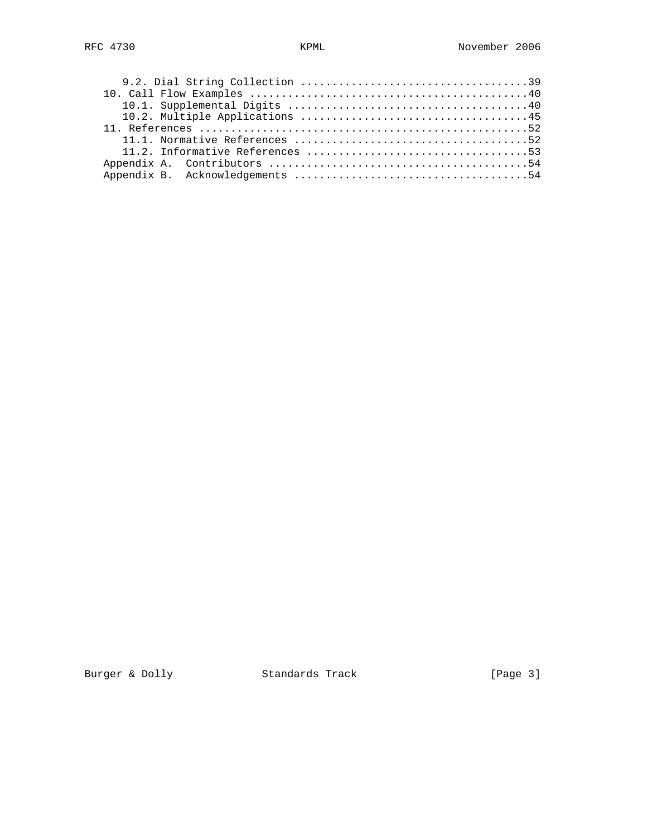Burger & Dolly Standards Track [Page 3]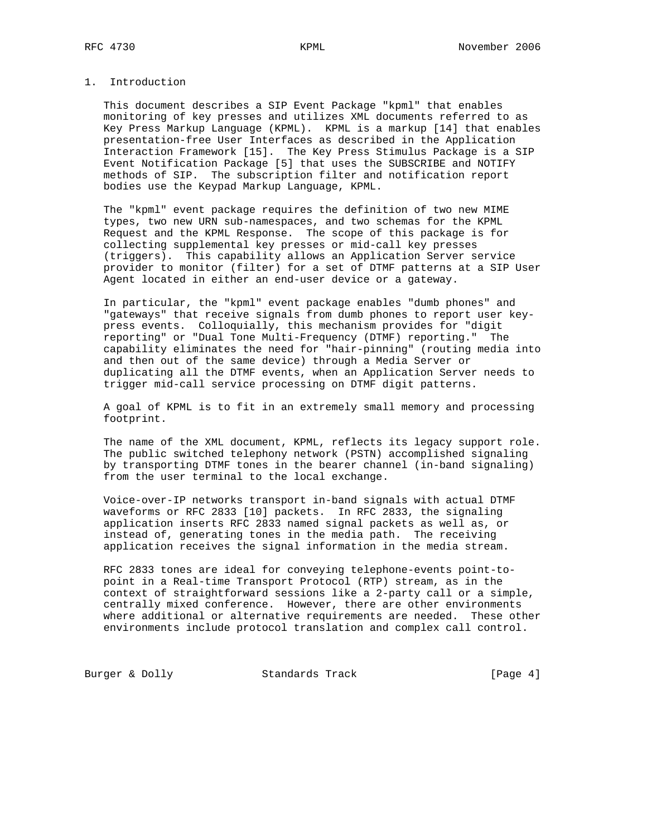# 1. Introduction

 This document describes a SIP Event Package "kpml" that enables monitoring of key presses and utilizes XML documents referred to as Key Press Markup Language (KPML). KPML is a markup [14] that enables presentation-free User Interfaces as described in the Application Interaction Framework [15]. The Key Press Stimulus Package is a SIP Event Notification Package [5] that uses the SUBSCRIBE and NOTIFY methods of SIP. The subscription filter and notification report bodies use the Keypad Markup Language, KPML.

 The "kpml" event package requires the definition of two new MIME types, two new URN sub-namespaces, and two schemas for the KPML Request and the KPML Response. The scope of this package is for collecting supplemental key presses or mid-call key presses (triggers). This capability allows an Application Server service provider to monitor (filter) for a set of DTMF patterns at a SIP User Agent located in either an end-user device or a gateway.

 In particular, the "kpml" event package enables "dumb phones" and "gateways" that receive signals from dumb phones to report user key press events. Colloquially, this mechanism provides for "digit reporting" or "Dual Tone Multi-Frequency (DTMF) reporting." The capability eliminates the need for "hair-pinning" (routing media into and then out of the same device) through a Media Server or duplicating all the DTMF events, when an Application Server needs to trigger mid-call service processing on DTMF digit patterns.

 A goal of KPML is to fit in an extremely small memory and processing footprint.

 The name of the XML document, KPML, reflects its legacy support role. The public switched telephony network (PSTN) accomplished signaling by transporting DTMF tones in the bearer channel (in-band signaling) from the user terminal to the local exchange.

 Voice-over-IP networks transport in-band signals with actual DTMF waveforms or RFC 2833 [10] packets. In RFC 2833, the signaling application inserts RFC 2833 named signal packets as well as, or instead of, generating tones in the media path. The receiving application receives the signal information in the media stream.

 RFC 2833 tones are ideal for conveying telephone-events point-to point in a Real-time Transport Protocol (RTP) stream, as in the context of straightforward sessions like a 2-party call or a simple, centrally mixed conference. However, there are other environments where additional or alternative requirements are needed. These other environments include protocol translation and complex call control.

Burger & Dolly Standards Track [Page 4]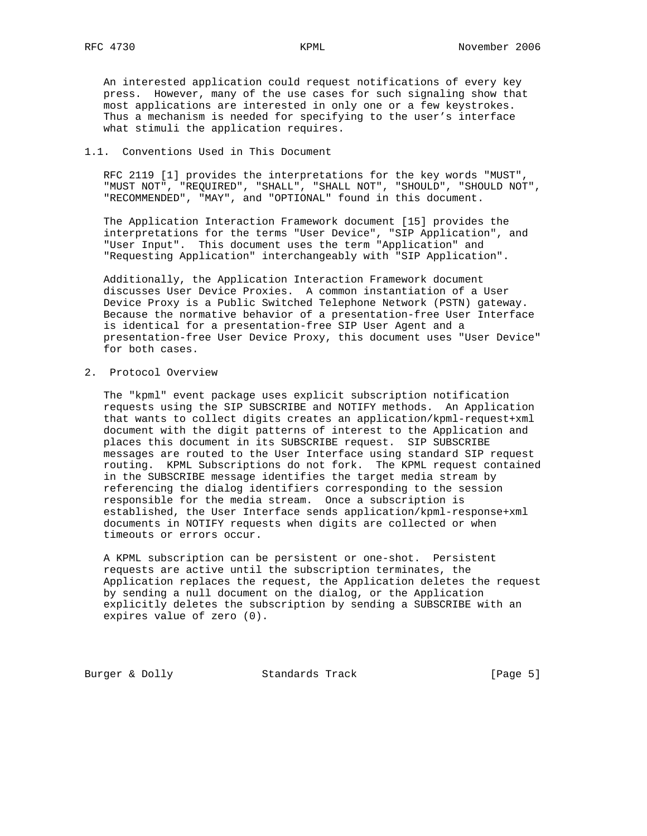An interested application could request notifications of every key press. However, many of the use cases for such signaling show that most applications are interested in only one or a few keystrokes. Thus a mechanism is needed for specifying to the user's interface what stimuli the application requires.

# 1.1. Conventions Used in This Document

 RFC 2119 [1] provides the interpretations for the key words "MUST", "MUST NOT", "REQUIRED", "SHALL", "SHALL NOT", "SHOULD", "SHOULD NOT", "RECOMMENDED", "MAY", and "OPTIONAL" found in this document.

 The Application Interaction Framework document [15] provides the interpretations for the terms "User Device", "SIP Application", and "User Input". This document uses the term "Application" and "Requesting Application" interchangeably with "SIP Application".

 Additionally, the Application Interaction Framework document discusses User Device Proxies. A common instantiation of a User Device Proxy is a Public Switched Telephone Network (PSTN) gateway. Because the normative behavior of a presentation-free User Interface is identical for a presentation-free SIP User Agent and a presentation-free User Device Proxy, this document uses "User Device" for both cases.

2. Protocol Overview

 The "kpml" event package uses explicit subscription notification requests using the SIP SUBSCRIBE and NOTIFY methods. An Application that wants to collect digits creates an application/kpml-request+xml document with the digit patterns of interest to the Application and places this document in its SUBSCRIBE request. SIP SUBSCRIBE messages are routed to the User Interface using standard SIP request routing. KPML Subscriptions do not fork. The KPML request contained in the SUBSCRIBE message identifies the target media stream by referencing the dialog identifiers corresponding to the session responsible for the media stream. Once a subscription is established, the User Interface sends application/kpml-response+xml documents in NOTIFY requests when digits are collected or when timeouts or errors occur.

 A KPML subscription can be persistent or one-shot. Persistent requests are active until the subscription terminates, the Application replaces the request, the Application deletes the request by sending a null document on the dialog, or the Application explicitly deletes the subscription by sending a SUBSCRIBE with an expires value of zero (0).

Burger & Dolly Standards Track [Page 5]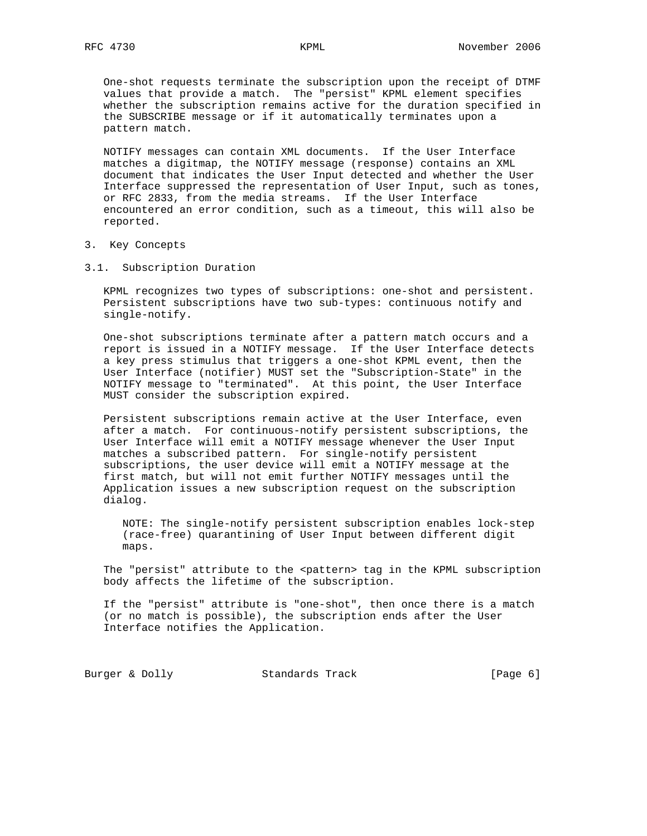One-shot requests terminate the subscription upon the receipt of DTMF values that provide a match. The "persist" KPML element specifies whether the subscription remains active for the duration specified in the SUBSCRIBE message or if it automatically terminates upon a pattern match.

 NOTIFY messages can contain XML documents. If the User Interface matches a digitmap, the NOTIFY message (response) contains an XML document that indicates the User Input detected and whether the User Interface suppressed the representation of User Input, such as tones, or RFC 2833, from the media streams. If the User Interface encountered an error condition, such as a timeout, this will also be reported.

- 3. Key Concepts
- 3.1. Subscription Duration

 KPML recognizes two types of subscriptions: one-shot and persistent. Persistent subscriptions have two sub-types: continuous notify and single-notify.

 One-shot subscriptions terminate after a pattern match occurs and a report is issued in a NOTIFY message. If the User Interface detects a key press stimulus that triggers a one-shot KPML event, then the User Interface (notifier) MUST set the "Subscription-State" in the NOTIFY message to "terminated". At this point, the User Interface MUST consider the subscription expired.

 Persistent subscriptions remain active at the User Interface, even after a match. For continuous-notify persistent subscriptions, the User Interface will emit a NOTIFY message whenever the User Input matches a subscribed pattern. For single-notify persistent subscriptions, the user device will emit a NOTIFY message at the first match, but will not emit further NOTIFY messages until the Application issues a new subscription request on the subscription dialog.

 NOTE: The single-notify persistent subscription enables lock-step (race-free) quarantining of User Input between different digit maps.

The "persist" attribute to the <pattern> tag in the KPML subscription body affects the lifetime of the subscription.

 If the "persist" attribute is "one-shot", then once there is a match (or no match is possible), the subscription ends after the User Interface notifies the Application.

Burger & Dolly **Standards Track** [Page 6]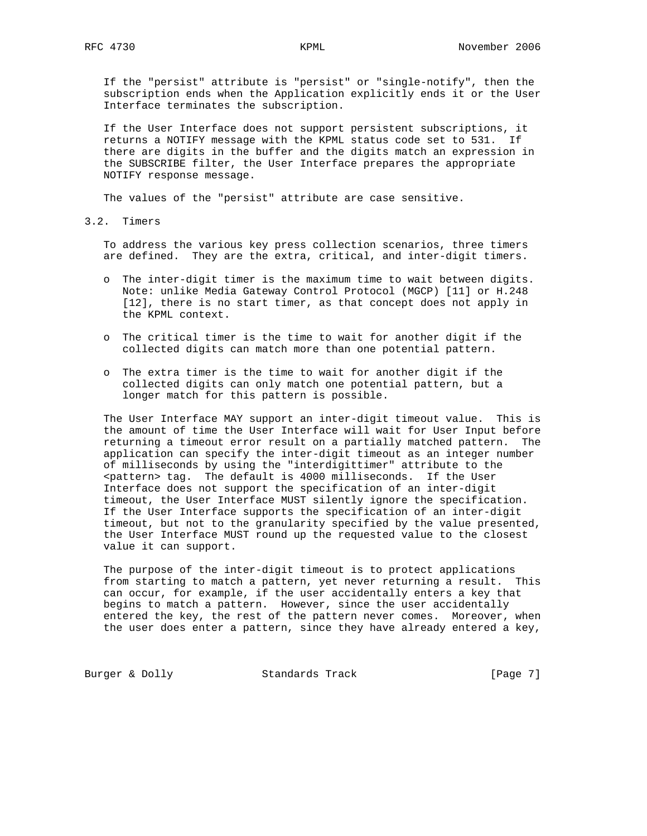If the "persist" attribute is "persist" or "single-notify", then the subscription ends when the Application explicitly ends it or the User Interface terminates the subscription.

 If the User Interface does not support persistent subscriptions, it returns a NOTIFY message with the KPML status code set to 531. If there are digits in the buffer and the digits match an expression in the SUBSCRIBE filter, the User Interface prepares the appropriate NOTIFY response message.

The values of the "persist" attribute are case sensitive.

3.2. Timers

 To address the various key press collection scenarios, three timers are defined. They are the extra, critical, and inter-digit timers.

- o The inter-digit timer is the maximum time to wait between digits. Note: unlike Media Gateway Control Protocol (MGCP) [11] or H.248 [12], there is no start timer, as that concept does not apply in the KPML context.
- o The critical timer is the time to wait for another digit if the collected digits can match more than one potential pattern.
- o The extra timer is the time to wait for another digit if the collected digits can only match one potential pattern, but a longer match for this pattern is possible.

 The User Interface MAY support an inter-digit timeout value. This is the amount of time the User Interface will wait for User Input before returning a timeout error result on a partially matched pattern. The application can specify the inter-digit timeout as an integer number of milliseconds by using the "interdigittimer" attribute to the <pattern> tag. The default is 4000 milliseconds. If the User Interface does not support the specification of an inter-digit timeout, the User Interface MUST silently ignore the specification. If the User Interface supports the specification of an inter-digit timeout, but not to the granularity specified by the value presented, the User Interface MUST round up the requested value to the closest value it can support.

 The purpose of the inter-digit timeout is to protect applications from starting to match a pattern, yet never returning a result. This can occur, for example, if the user accidentally enters a key that begins to match a pattern. However, since the user accidentally entered the key, the rest of the pattern never comes. Moreover, when the user does enter a pattern, since they have already entered a key,

Burger & Dolly Standards Track [Page 7]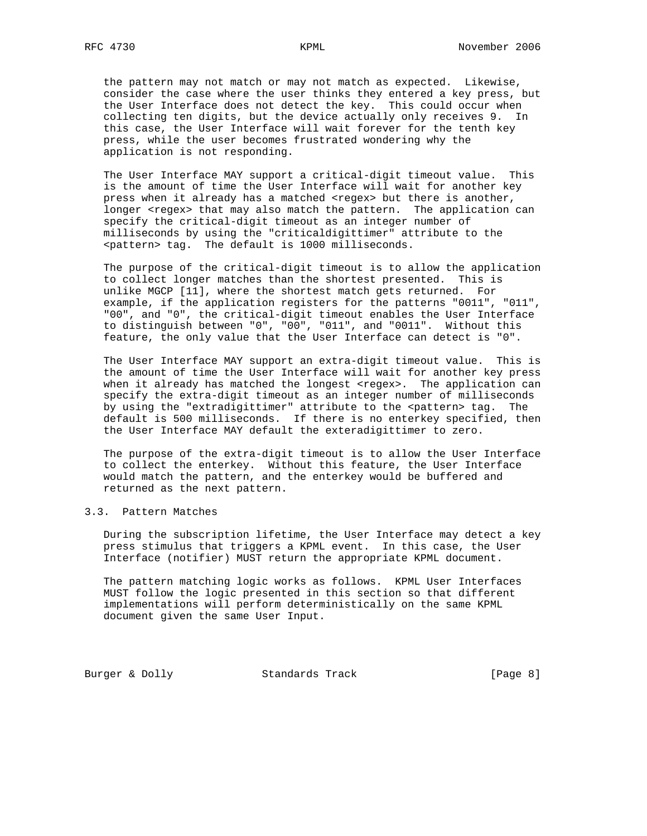the pattern may not match or may not match as expected. Likewise, consider the case where the user thinks they entered a key press, but the User Interface does not detect the key. This could occur when collecting ten digits, but the device actually only receives 9. In this case, the User Interface will wait forever for the tenth key press, while the user becomes frustrated wondering why the application is not responding.

 The User Interface MAY support a critical-digit timeout value. This is the amount of time the User Interface will wait for another key press when it already has a matched <regex> but there is another, longer <regex> that may also match the pattern. The application can specify the critical-digit timeout as an integer number of milliseconds by using the "criticaldigittimer" attribute to the <pattern> tag. The default is 1000 milliseconds.

 The purpose of the critical-digit timeout is to allow the application to collect longer matches than the shortest presented. This is unlike MGCP [11], where the shortest match gets returned. For example, if the application registers for the patterns "0011", "011", "00", and "0", the critical-digit timeout enables the User Interface to distinguish between "0", "00", "011", and "0011". Without this feature, the only value that the User Interface can detect is "0".

 The User Interface MAY support an extra-digit timeout value. This is the amount of time the User Interface will wait for another key press when it already has matched the longest <regex>. The application can specify the extra-digit timeout as an integer number of milliseconds by using the "extradigittimer" attribute to the <pattern> tag. The default is 500 milliseconds. If there is no enterkey specified, then the User Interface MAY default the exteradigittimer to zero.

 The purpose of the extra-digit timeout is to allow the User Interface to collect the enterkey. Without this feature, the User Interface would match the pattern, and the enterkey would be buffered and returned as the next pattern.

# 3.3. Pattern Matches

 During the subscription lifetime, the User Interface may detect a key press stimulus that triggers a KPML event. In this case, the User Interface (notifier) MUST return the appropriate KPML document.

 The pattern matching logic works as follows. KPML User Interfaces MUST follow the logic presented in this section so that different implementations will perform deterministically on the same KPML document given the same User Input.

Burger & Dolly Standards Track [Page 8]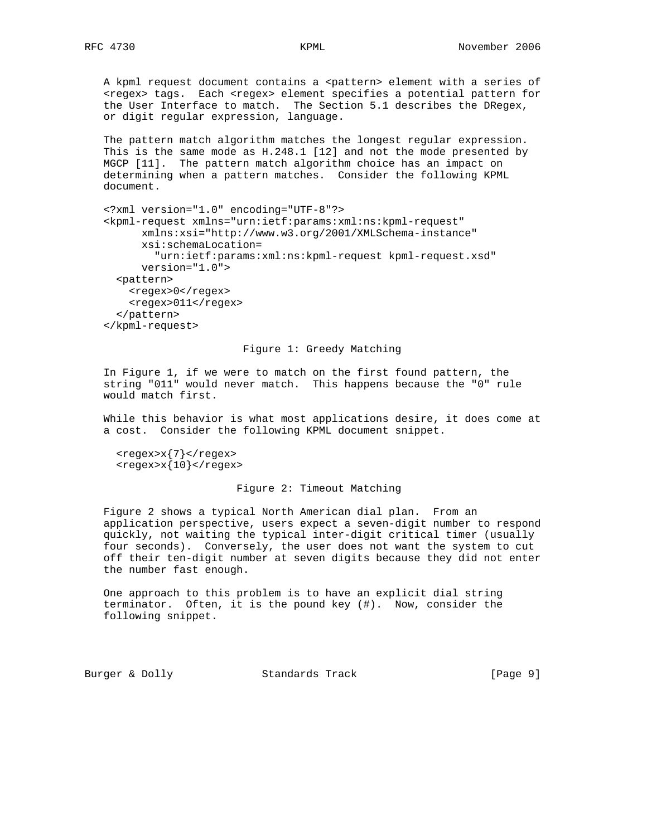A kpml request document contains a <pattern> element with a series of <regex> tags. Each <regex> element specifies a potential pattern for the User Interface to match. The Section 5.1 describes the DRegex, or digit regular expression, language.

 The pattern match algorithm matches the longest regular expression. This is the same mode as H.248.1 [12] and not the mode presented by MGCP [11]. The pattern match algorithm choice has an impact on determining when a pattern matches. Consider the following KPML document.

 <?xml version="1.0" encoding="UTF-8"?> <kpml-request xmlns="urn:ietf:params:xml:ns:kpml-request" xmlns:xsi="http://www.w3.org/2001/XMLSchema-instance" xsi:schemaLocation= "urn:ietf:params:xml:ns:kpml-request kpml-request.xsd" version="1.0"> <pattern> <regex>0</regex> <regex>011</regex> </pattern> </kpml-request>

## Figure 1: Greedy Matching

 In Figure 1, if we were to match on the first found pattern, the string "011" would never match. This happens because the "0" rule would match first.

 While this behavior is what most applications desire, it does come at a cost. Consider the following KPML document snippet.

 $<$ regex> $x$ {7} </regex>  $<$ regex> $x{10}$  </regex>

## Figure 2: Timeout Matching

 Figure 2 shows a typical North American dial plan. From an application perspective, users expect a seven-digit number to respond quickly, not waiting the typical inter-digit critical timer (usually four seconds). Conversely, the user does not want the system to cut off their ten-digit number at seven digits because they did not enter the number fast enough.

 One approach to this problem is to have an explicit dial string terminator. Often, it is the pound key (#). Now, consider the following snippet.

Burger & Dolly Standards Track [Page 9]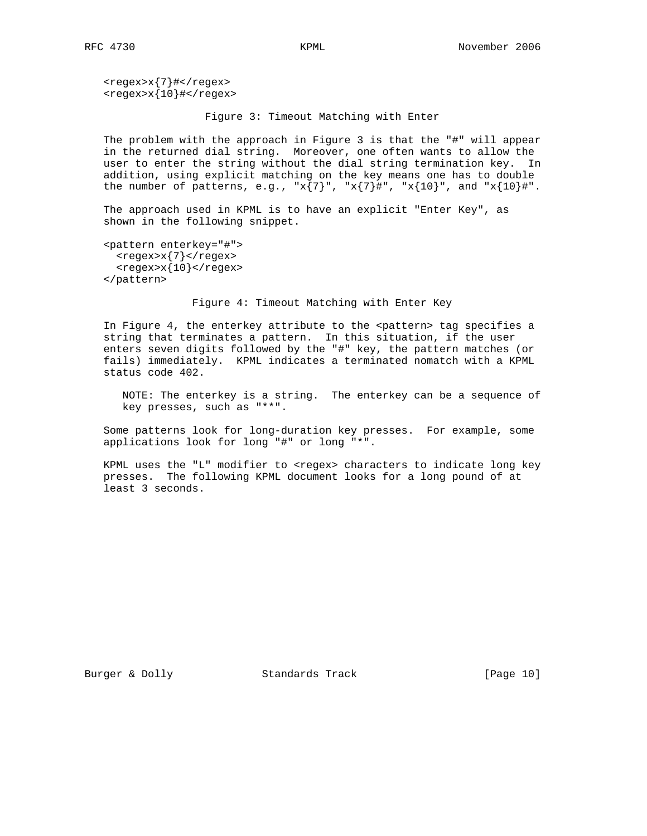<regex>x{7}#</regex>  $<$ regex> $x$ {10}#</regex>

Figure 3: Timeout Matching with Enter

 The problem with the approach in Figure 3 is that the "#" will appear in the returned dial string. Moreover, one often wants to allow the user to enter the string without the dial string termination key. In addition, using explicit matching on the key means one has to double the number of patterns, e.g.,  $x\{7\}$ ",  $x\{7\}$ #",  $x\{10\}$ ", and  $x\{10\}$ #".

 The approach used in KPML is to have an explicit "Enter Key", as shown in the following snippet.

```
 <pattern enterkey="#">
  <regex>x{7}</regex>
 <regex>x{10} </regex>
 </pattern>
```
Figure 4: Timeout Matching with Enter Key

In Figure 4, the enterkey attribute to the <pattern> tag specifies a string that terminates a pattern. In this situation, if the user enters seven digits followed by the "#" key, the pattern matches (or fails) immediately. KPML indicates a terminated nomatch with a KPML status code 402.

 NOTE: The enterkey is a string. The enterkey can be a sequence of key presses, such as "\*\*".

 Some patterns look for long-duration key presses. For example, some applications look for long "#" or long "\*".

KPML uses the "L" modifier to <regex> characters to indicate long key presses. The following KPML document looks for a long pound of at least 3 seconds.

Burger & Dolly Standards Track [Page 10]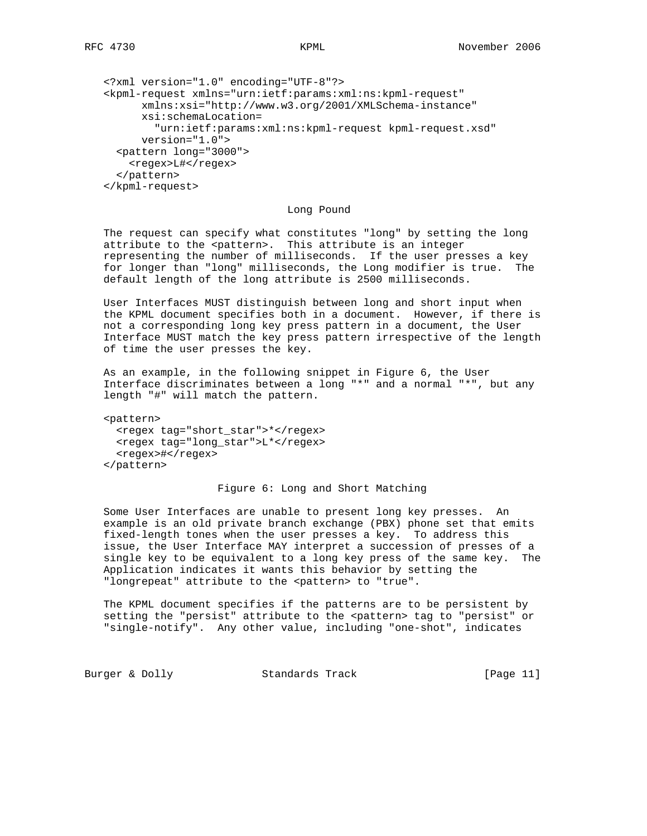```
 <?xml version="1.0" encoding="UTF-8"?>
 <kpml-request xmlns="urn:ietf:params:xml:ns:kpml-request"
       xmlns:xsi="http://www.w3.org/2001/XMLSchema-instance"
       xsi:schemaLocation=
         "urn:ietf:params:xml:ns:kpml-request kpml-request.xsd"
       version="1.0">
   <pattern long="3000">
    <regex>L#</regex>
   </pattern>
 </kpml-request>
```
Long Pound

 The request can specify what constitutes "long" by setting the long attribute to the <pattern>. This attribute is an integer representing the number of milliseconds. If the user presses a key for longer than "long" milliseconds, the Long modifier is true. The default length of the long attribute is 2500 milliseconds.

 User Interfaces MUST distinguish between long and short input when the KPML document specifies both in a document. However, if there is not a corresponding long key press pattern in a document, the User Interface MUST match the key press pattern irrespective of the length of time the user presses the key.

 As an example, in the following snippet in Figure 6, the User Interface discriminates between a long "\*" and a normal "\*", but any length "#" will match the pattern.

 <pattern> <regex tag="short\_star">\*</regex> <regex tag="long\_star">L\*</regex> <regex>#</regex> </pattern>

# Figure 6: Long and Short Matching

 Some User Interfaces are unable to present long key presses. An example is an old private branch exchange (PBX) phone set that emits fixed-length tones when the user presses a key. To address this issue, the User Interface MAY interpret a succession of presses of a single key to be equivalent to a long key press of the same key. The Application indicates it wants this behavior by setting the "longrepeat" attribute to the <pattern> to "true".

 The KPML document specifies if the patterns are to be persistent by setting the "persist" attribute to the <pattern> tag to "persist" or "single-notify". Any other value, including "one-shot", indicates

Burger & Dolly Standards Track [Page 11]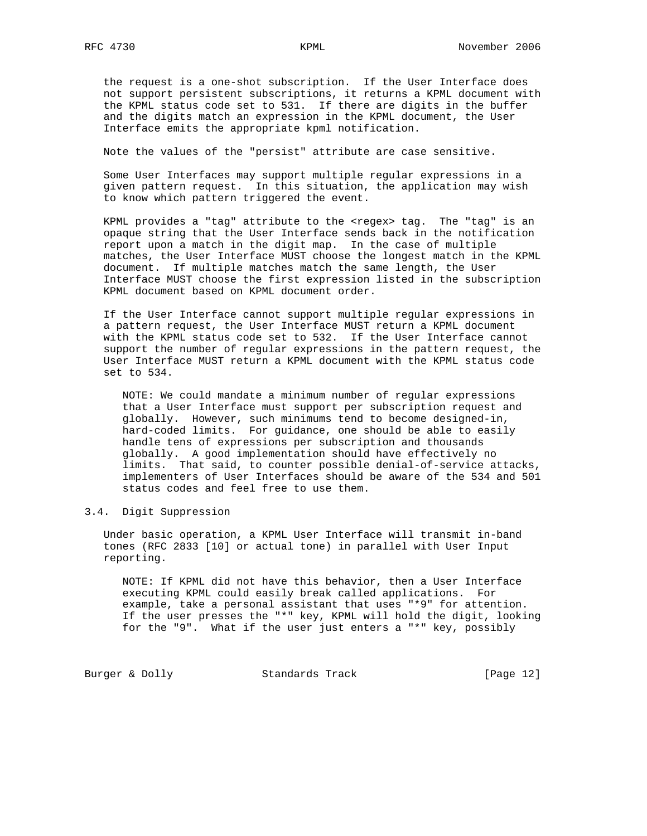the request is a one-shot subscription. If the User Interface does not support persistent subscriptions, it returns a KPML document with the KPML status code set to 531. If there are digits in the buffer and the digits match an expression in the KPML document, the User Interface emits the appropriate kpml notification.

Note the values of the "persist" attribute are case sensitive.

 Some User Interfaces may support multiple regular expressions in a given pattern request. In this situation, the application may wish to know which pattern triggered the event.

 KPML provides a "tag" attribute to the <regex> tag. The "tag" is an opaque string that the User Interface sends back in the notification report upon a match in the digit map. In the case of multiple matches, the User Interface MUST choose the longest match in the KPML document. If multiple matches match the same length, the User Interface MUST choose the first expression listed in the subscription KPML document based on KPML document order.

 If the User Interface cannot support multiple regular expressions in a pattern request, the User Interface MUST return a KPML document with the KPML status code set to 532. If the User Interface cannot support the number of regular expressions in the pattern request, the User Interface MUST return a KPML document with the KPML status code set to 534.

 NOTE: We could mandate a minimum number of regular expressions that a User Interface must support per subscription request and globally. However, such minimums tend to become designed-in, hard-coded limits. For guidance, one should be able to easily handle tens of expressions per subscription and thousands globally. A good implementation should have effectively no limits. That said, to counter possible denial-of-service attacks, implementers of User Interfaces should be aware of the 534 and 501 status codes and feel free to use them.

# 3.4. Digit Suppression

 Under basic operation, a KPML User Interface will transmit in-band tones (RFC 2833 [10] or actual tone) in parallel with User Input reporting.

 NOTE: If KPML did not have this behavior, then a User Interface executing KPML could easily break called applications. For example, take a personal assistant that uses "\*9" for attention. If the user presses the "\*" key, KPML will hold the digit, looking for the "9". What if the user just enters a "\*" key, possibly

Burger & Dolly Standards Track [Page 12]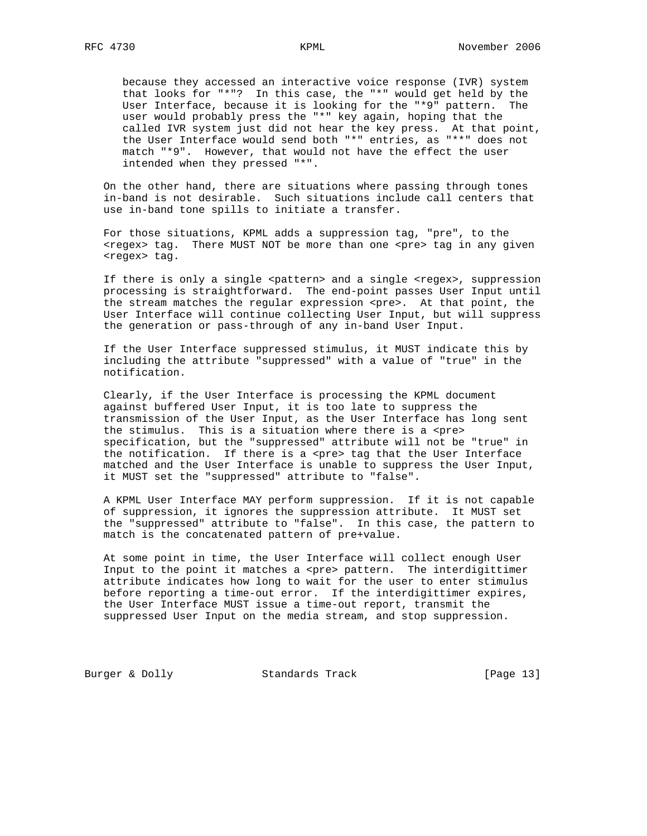because they accessed an interactive voice response (IVR) system that looks for "\*"? In this case, the "\*" would get held by the User Interface, because it is looking for the "\*9" pattern. The user would probably press the "\*" key again, hoping that the called IVR system just did not hear the key press. At that point, the User Interface would send both "\*" entries, as "\*\*" does not match "\*9". However, that would not have the effect the user intended when they pressed "\*".

 On the other hand, there are situations where passing through tones in-band is not desirable. Such situations include call centers that use in-band tone spills to initiate a transfer.

 For those situations, KPML adds a suppression tag, "pre", to the <regex> tag. There MUST NOT be more than one <pre> tag in any given <regex> tag.

If there is only a single <pattern> and a single <regex>, suppression processing is straightforward. The end-point passes User Input until the stream matches the regular expression <pre>. At that point, the User Interface will continue collecting User Input, but will suppress the generation or pass-through of any in-band User Input.

 If the User Interface suppressed stimulus, it MUST indicate this by including the attribute "suppressed" with a value of "true" in the notification.

 Clearly, if the User Interface is processing the KPML document against buffered User Input, it is too late to suppress the transmission of the User Input, as the User Interface has long sent the stimulus. This is a situation where there is a <pre> specification, but the "suppressed" attribute will not be "true" in the notification. If there is a <pre> tag that the User Interface matched and the User Interface is unable to suppress the User Input, it MUST set the "suppressed" attribute to "false".

 A KPML User Interface MAY perform suppression. If it is not capable of suppression, it ignores the suppression attribute. It MUST set the "suppressed" attribute to "false". In this case, the pattern to match is the concatenated pattern of pre+value.

 At some point in time, the User Interface will collect enough User Input to the point it matches a <pre> pattern. The interdigittimer attribute indicates how long to wait for the user to enter stimulus before reporting a time-out error. If the interdigittimer expires, the User Interface MUST issue a time-out report, transmit the suppressed User Input on the media stream, and stop suppression.

Burger & Dolly Standards Track [Page 13]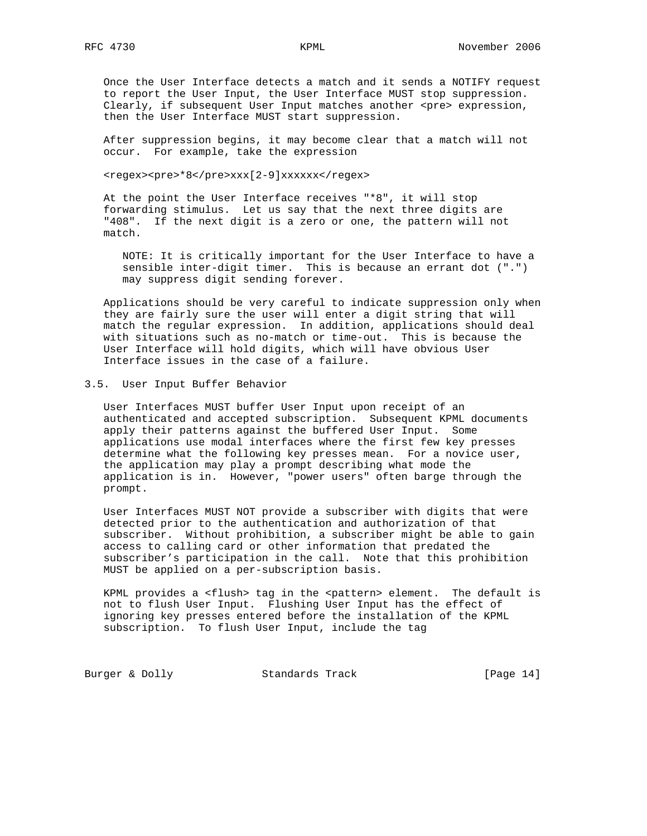Once the User Interface detects a match and it sends a NOTIFY request to report the User Input, the User Interface MUST stop suppression. Clearly, if subsequent User Input matches another <pre> expression, then the User Interface MUST start suppression.

 After suppression begins, it may become clear that a match will not occur. For example, take the expression

<regex><pre>\*8</pre>xxx[2-9]xxxxxx</regex>

 At the point the User Interface receives "\*8", it will stop forwarding stimulus. Let us say that the next three digits are "408". If the next digit is a zero or one, the pattern will not match.

 NOTE: It is critically important for the User Interface to have a sensible inter-digit timer. This is because an errant dot (".") may suppress digit sending forever.

 Applications should be very careful to indicate suppression only when they are fairly sure the user will enter a digit string that will match the regular expression. In addition, applications should deal with situations such as no-match or time-out. This is because the User Interface will hold digits, which will have obvious User Interface issues in the case of a failure.

# 3.5. User Input Buffer Behavior

 User Interfaces MUST buffer User Input upon receipt of an authenticated and accepted subscription. Subsequent KPML documents apply their patterns against the buffered User Input. Some applications use modal interfaces where the first few key presses determine what the following key presses mean. For a novice user, the application may play a prompt describing what mode the application is in. However, "power users" often barge through the prompt.

 User Interfaces MUST NOT provide a subscriber with digits that were detected prior to the authentication and authorization of that subscriber. Without prohibition, a subscriber might be able to gain access to calling card or other information that predated the subscriber's participation in the call. Note that this prohibition MUST be applied on a per-subscription basis.

KPML provides a <flush> tag in the <pattern> element. The default is not to flush User Input. Flushing User Input has the effect of ignoring key presses entered before the installation of the KPML subscription. To flush User Input, include the tag

Burger & Dolly Standards Track [Page 14]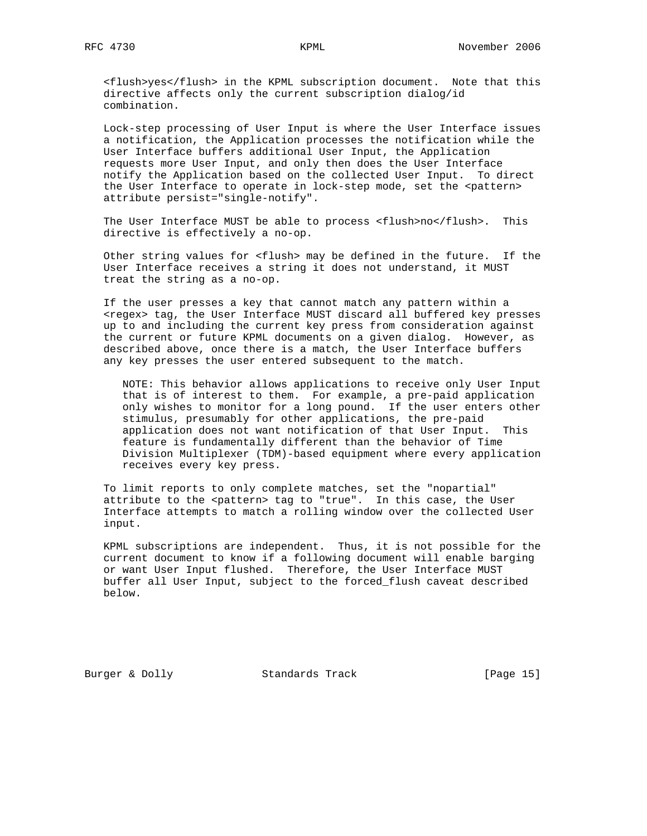<flush>yes</flush> in the KPML subscription document. Note that this directive affects only the current subscription dialog/id combination.

 Lock-step processing of User Input is where the User Interface issues a notification, the Application processes the notification while the User Interface buffers additional User Input, the Application requests more User Input, and only then does the User Interface notify the Application based on the collected User Input. To direct the User Interface to operate in lock-step mode, set the <pattern> attribute persist="single-notify".

 The User Interface MUST be able to process <flush>no</flush>. This directive is effectively a no-op.

 Other string values for <flush> may be defined in the future. If the User Interface receives a string it does not understand, it MUST treat the string as a no-op.

 If the user presses a key that cannot match any pattern within a <regex> tag, the User Interface MUST discard all buffered key presses up to and including the current key press from consideration against the current or future KPML documents on a given dialog. However, as described above, once there is a match, the User Interface buffers any key presses the user entered subsequent to the match.

 NOTE: This behavior allows applications to receive only User Input that is of interest to them. For example, a pre-paid application only wishes to monitor for a long pound. If the user enters other stimulus, presumably for other applications, the pre-paid application does not want notification of that User Input. This feature is fundamentally different than the behavior of Time Division Multiplexer (TDM)-based equipment where every application receives every key press.

 To limit reports to only complete matches, set the "nopartial" attribute to the <pattern> tag to "true". In this case, the User Interface attempts to match a rolling window over the collected User input.

 KPML subscriptions are independent. Thus, it is not possible for the current document to know if a following document will enable barging or want User Input flushed. Therefore, the User Interface MUST buffer all User Input, subject to the forced\_flush caveat described below.

Burger & Dolly Standards Track [Page 15]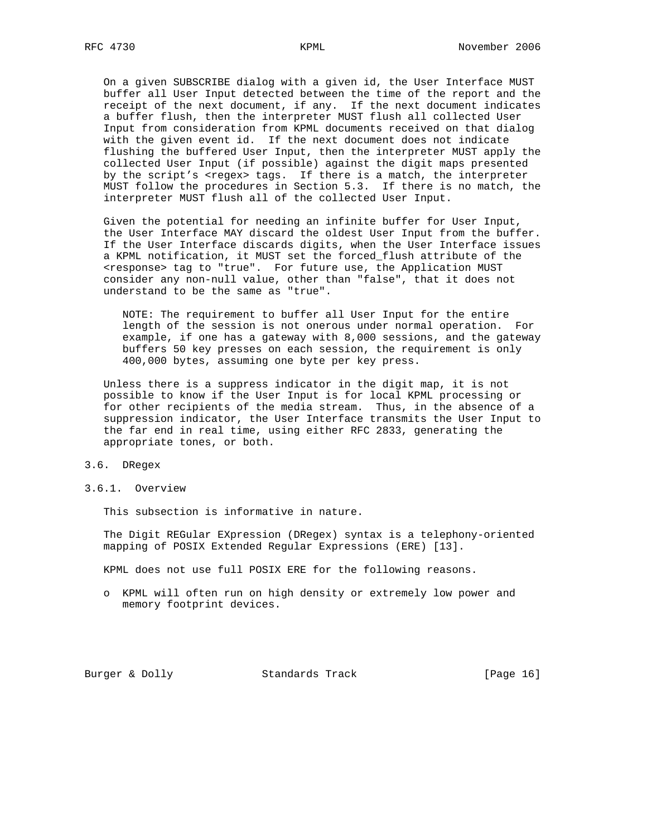On a given SUBSCRIBE dialog with a given id, the User Interface MUST buffer all User Input detected between the time of the report and the receipt of the next document, if any. If the next document indicates a buffer flush, then the interpreter MUST flush all collected User Input from consideration from KPML documents received on that dialog with the given event id. If the next document does not indicate flushing the buffered User Input, then the interpreter MUST apply the collected User Input (if possible) against the digit maps presented by the script's <regex> tags. If there is a match, the interpreter MUST follow the procedures in Section 5.3. If there is no match, the interpreter MUST flush all of the collected User Input.

 Given the potential for needing an infinite buffer for User Input, the User Interface MAY discard the oldest User Input from the buffer. If the User Interface discards digits, when the User Interface issues a KPML notification, it MUST set the forced\_flush attribute of the <response> tag to "true". For future use, the Application MUST consider any non-null value, other than "false", that it does not understand to be the same as "true".

 NOTE: The requirement to buffer all User Input for the entire length of the session is not onerous under normal operation. For example, if one has a gateway with 8,000 sessions, and the gateway buffers 50 key presses on each session, the requirement is only 400,000 bytes, assuming one byte per key press.

 Unless there is a suppress indicator in the digit map, it is not possible to know if the User Input is for local KPML processing or for other recipients of the media stream. Thus, in the absence of a suppression indicator, the User Interface transmits the User Input to the far end in real time, using either RFC 2833, generating the appropriate tones, or both.

# 3.6. DRegex

3.6.1. Overview

This subsection is informative in nature.

 The Digit REGular EXpression (DRegex) syntax is a telephony-oriented mapping of POSIX Extended Regular Expressions (ERE) [13].

KPML does not use full POSIX ERE for the following reasons.

 o KPML will often run on high density or extremely low power and memory footprint devices.

Burger & Dolly Standards Track [Page 16]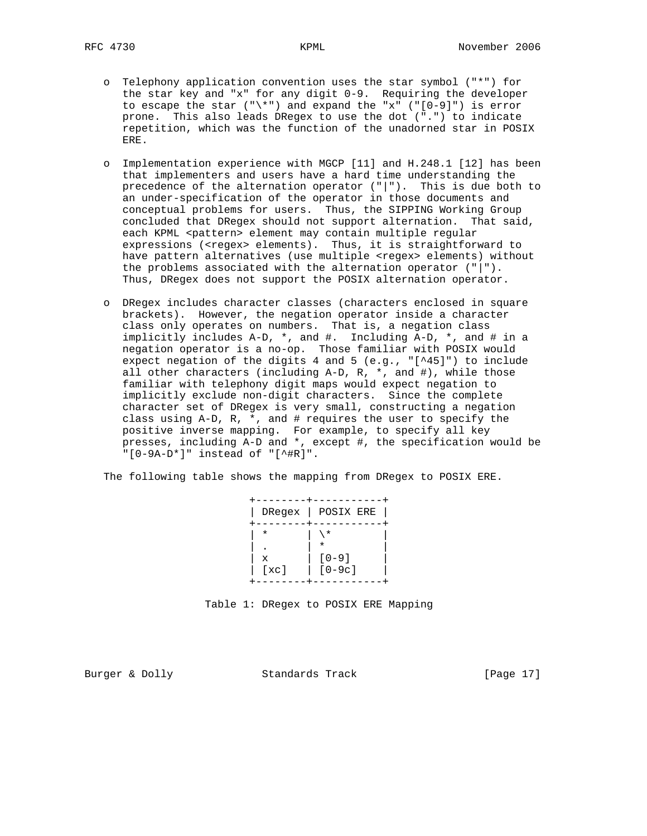- o Telephony application convention uses the star symbol ("\*") for the star key and "x" for any digit 0-9. Requiring the developer to escape the star  $(\sqrt{m})$  and expand the "x"  $(\sqrt{m}-9)$ ") is error prone. This also leads DRegex to use the dot (".") to indicate repetition, which was the function of the unadorned star in POSIX ERE.
- o Implementation experience with MGCP [11] and H.248.1 [12] has been that implementers and users have a hard time understanding the precedence of the alternation operator ("|"). This is due both to an under-specification of the operator in those documents and conceptual problems for users. Thus, the SIPPING Working Group concluded that DRegex should not support alternation. That said, each KPML <pattern> element may contain multiple regular expressions (<regex> elements). Thus, it is straightforward to have pattern alternatives (use multiple <regex> elements) without the problems associated with the alternation operator ("|"). Thus, DRegex does not support the POSIX alternation operator.
- o DRegex includes character classes (characters enclosed in square brackets). However, the negation operator inside a character class only operates on numbers. That is, a negation class implicitly includes A-D, \*, and #. Including A-D, \*, and # in a negation operator is a no-op. Those familiar with POSIX would expect negation of the digits 4 and 5 (e.g., "[^45]") to include all other characters (including  $A-D$ ,  $R$ ,  $*$ , and  $#$ ), while those familiar with telephony digit maps would expect negation to implicitly exclude non-digit characters. Since the complete character set of DRegex is very small, constructing a negation class using  $A-D$ ,  $R$ ,  $*$ , and  $#$  requires the user to specify the positive inverse mapping. For example, to specify all key presses, including A-D and \*, except #, the specification would be "[0-9A-D\*]" instead of "[^#R]".

The following table shows the mapping from DRegex to POSIX ERE.

| $\ast$<br>$\star$<br>$\star$<br>٠<br>$[0 - 9]$<br>X<br>$[0-9c]$<br>[xc] |  | DRegex   POSTX ERE |
|-------------------------------------------------------------------------|--|--------------------|
|                                                                         |  |                    |
|                                                                         |  |                    |
|                                                                         |  |                    |

Table 1: DRegex to POSIX ERE Mapping

Burger & Dolly Standards Track [Page 17]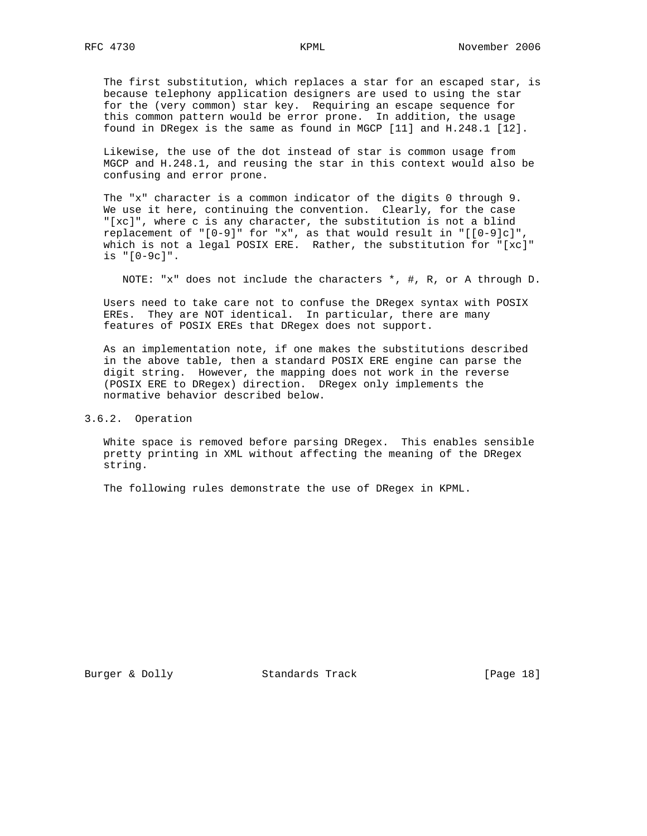The first substitution, which replaces a star for an escaped star, is because telephony application designers are used to using the star for the (very common) star key. Requiring an escape sequence for this common pattern would be error prone. In addition, the usage found in DRegex is the same as found in MGCP [11] and H.248.1 [12].

 Likewise, the use of the dot instead of star is common usage from MGCP and H.248.1, and reusing the star in this context would also be confusing and error prone.

 The "x" character is a common indicator of the digits 0 through 9. We use it here, continuing the convention. Clearly, for the case "[xc]", where c is any character, the substitution is not a blind replacement of " $[0-9]$ " for "x", as that would result in " $[0-9]c]$ " which is not a legal POSIX ERE. Rather, the substitution for "[xc]" is "[0-9c]".

NOTE: "x" does not include the characters \*, #, R, or A through D.

 Users need to take care not to confuse the DRegex syntax with POSIX EREs. They are NOT identical. In particular, there are many features of POSIX EREs that DRegex does not support.

 As an implementation note, if one makes the substitutions described in the above table, then a standard POSIX ERE engine can parse the digit string. However, the mapping does not work in the reverse (POSIX ERE to DRegex) direction. DRegex only implements the normative behavior described below.

3.6.2. Operation

 White space is removed before parsing DRegex. This enables sensible pretty printing in XML without affecting the meaning of the DRegex string.

The following rules demonstrate the use of DRegex in KPML.

Burger & Dolly Standards Track [Page 18]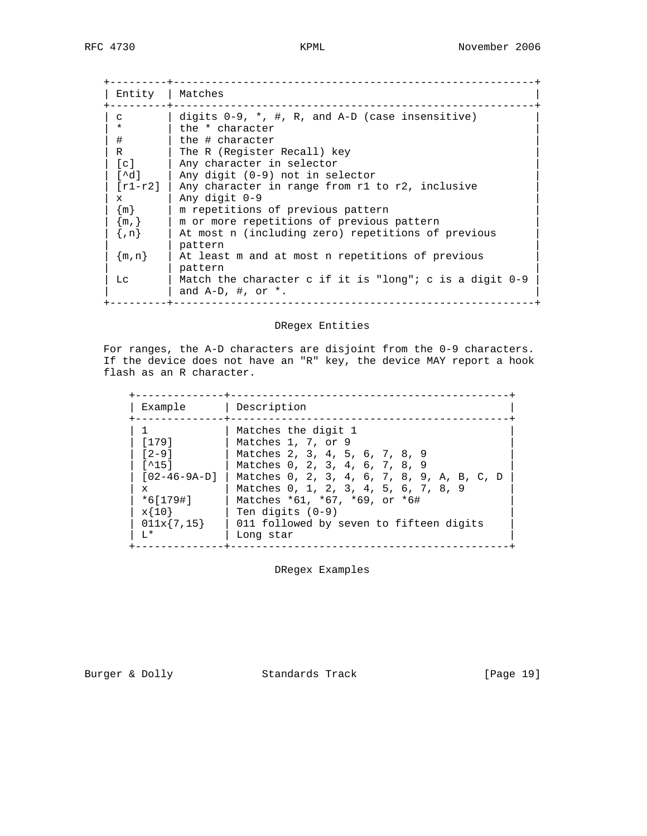| Entity            | Matches                                                                              |
|-------------------|--------------------------------------------------------------------------------------|
| C                 | digits $0-9$ , $\star$ , #, R, and A-D (case insensitive)                            |
| $\star$           | the * character                                                                      |
| #                 | the # character                                                                      |
| R                 | The R (Register Recall) key                                                          |
| $\lceil c \rceil$ | Any character in selector                                                            |
| r^d l             | Any digit (0-9) not in selector                                                      |
| $[r1-r2]$         | Any character in range from r1 to r2, inclusive                                      |
| $\mathbf x$       | Any digit 0-9                                                                        |
| $\{m\}$           | m repetitions of previous pattern                                                    |
| $\{m, \}$         | m or more repetitions of previous pattern                                            |
| $\{n\}$           | At most n (including zero) repetitions of previous                                   |
|                   | pattern                                                                              |
| $\{m, n\}$        | At least m and at most n repetitions of previous                                     |
|                   | pattern                                                                              |
| Lc                | Match the character c if it is "long"; c is a digit $0-9$<br>and $A-D$ , #, or $*$ . |

# DRegex Entities

 For ranges, the A-D characters are disjoint from the 0-9 characters. If the device does not have an "R" key, the device MAY report a hook flash as an R character.

| Example                                                                                                                                                   | Description                                                                                                                                                                                                                                                                                                        |
|-----------------------------------------------------------------------------------------------------------------------------------------------------------|--------------------------------------------------------------------------------------------------------------------------------------------------------------------------------------------------------------------------------------------------------------------------------------------------------------------|
| [179]<br>$\begin{bmatrix} 2 - 9 \end{bmatrix}$<br>$\lceil$ ^15]<br>$[02 - 46 - 9A - D]$<br>$\mathbf{x}$<br>$*6[179]]$<br>$x{10}$<br>$011x\{7,15\}$<br>T.* | Matches the digit 1<br>Matches 1, 7, or 9<br>Matches 2, 3, 4, 5, 6, 7, 8, 9<br>Matches 0, 2, 3, 4, 6, 7, 8, 9<br>Matches 0, 2, 3, 4, 6, 7, 8, 9, A, B, C, D<br>Matches 0, 1, 2, 3, 4, 5, 6, 7, 8, 9<br>Matches *61, *67, *69, or *6#<br>Ten digits $(0-9)$<br>011 followed by seven to fifteen digits<br>Long star |

DRegex Examples

Burger & Dolly **Standards Track** [Page 19]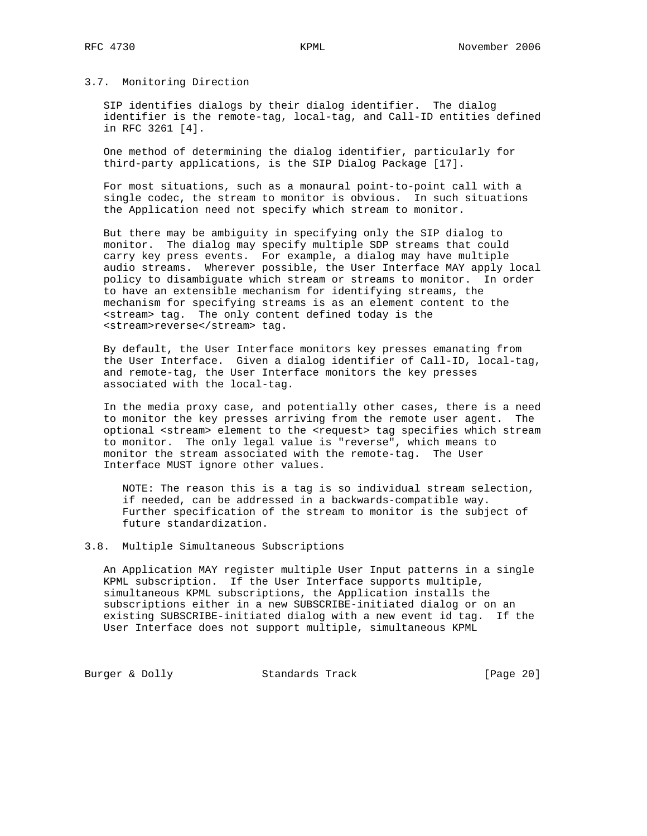# 3.7. Monitoring Direction

 SIP identifies dialogs by their dialog identifier. The dialog identifier is the remote-tag, local-tag, and Call-ID entities defined in RFC 3261 [4].

 One method of determining the dialog identifier, particularly for third-party applications, is the SIP Dialog Package [17].

 For most situations, such as a monaural point-to-point call with a single codec, the stream to monitor is obvious. In such situations the Application need not specify which stream to monitor.

 But there may be ambiguity in specifying only the SIP dialog to monitor. The dialog may specify multiple SDP streams that could carry key press events. For example, a dialog may have multiple audio streams. Wherever possible, the User Interface MAY apply local policy to disambiguate which stream or streams to monitor. In order to have an extensible mechanism for identifying streams, the mechanism for specifying streams is as an element content to the <stream> tag. The only content defined today is the <stream>reverse</stream> tag.

 By default, the User Interface monitors key presses emanating from the User Interface. Given a dialog identifier of Call-ID, local-tag, and remote-tag, the User Interface monitors the key presses associated with the local-tag.

 In the media proxy case, and potentially other cases, there is a need to monitor the key presses arriving from the remote user agent. The optional <stream> element to the <request> tag specifies which stream to monitor. The only legal value is "reverse", which means to monitor the stream associated with the remote-tag. The User Interface MUST ignore other values.

 NOTE: The reason this is a tag is so individual stream selection, if needed, can be addressed in a backwards-compatible way. Further specification of the stream to monitor is the subject of future standardization.

# 3.8. Multiple Simultaneous Subscriptions

 An Application MAY register multiple User Input patterns in a single KPML subscription. If the User Interface supports multiple, simultaneous KPML subscriptions, the Application installs the subscriptions either in a new SUBSCRIBE-initiated dialog or on an existing SUBSCRIBE-initiated dialog with a new event id tag. If the User Interface does not support multiple, simultaneous KPML

Burger & Dolly Standards Track [Page 20]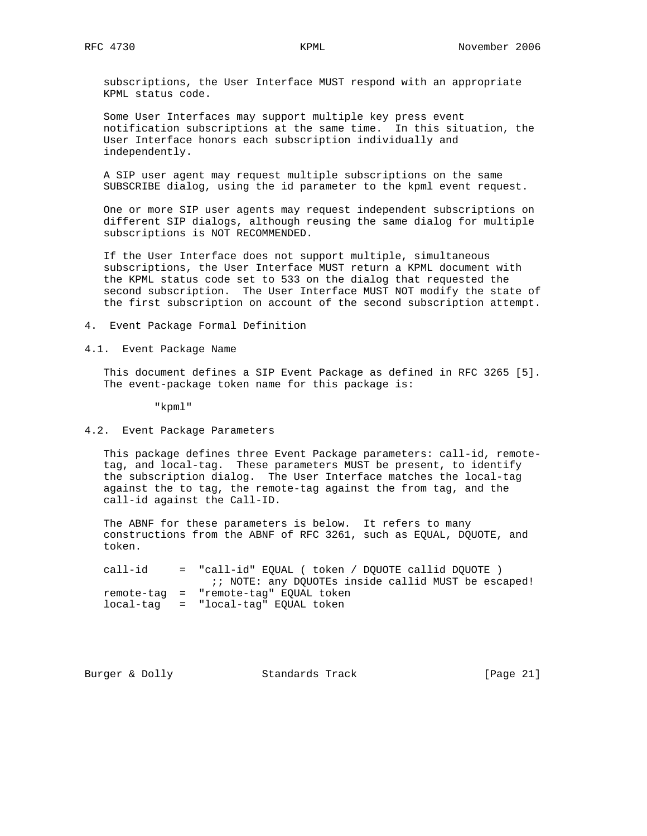subscriptions, the User Interface MUST respond with an appropriate KPML status code.

 Some User Interfaces may support multiple key press event notification subscriptions at the same time. In this situation, the User Interface honors each subscription individually and independently.

 A SIP user agent may request multiple subscriptions on the same SUBSCRIBE dialog, using the id parameter to the kpml event request.

 One or more SIP user agents may request independent subscriptions on different SIP dialogs, although reusing the same dialog for multiple subscriptions is NOT RECOMMENDED.

 If the User Interface does not support multiple, simultaneous subscriptions, the User Interface MUST return a KPML document with the KPML status code set to 533 on the dialog that requested the second subscription. The User Interface MUST NOT modify the state of the first subscription on account of the second subscription attempt.

4. Event Package Formal Definition

4.1. Event Package Name

 This document defines a SIP Event Package as defined in RFC 3265 [5]. The event-package token name for this package is:

"kpml"

### 4.2. Event Package Parameters

 This package defines three Event Package parameters: call-id, remote tag, and local-tag. These parameters MUST be present, to identify the subscription dialog. The User Interface matches the local-tag against the to tag, the remote-tag against the from tag, and the call-id against the Call-ID.

The ABNF for these parameters is below. It refers to many constructions from the ABNF of RFC 3261, such as EQUAL, DQUOTE, and token.

 call-id = "call-id" EQUAL ( token / DQUOTE callid DQUOTE ) :; NOTE: any DQUOTEs inside callid MUST be escaped! remote-tag = "remote-tag" EQUAL token local-tag = "local-tag" EQUAL token

Burger & Dolly **Standards Track** [Page 21]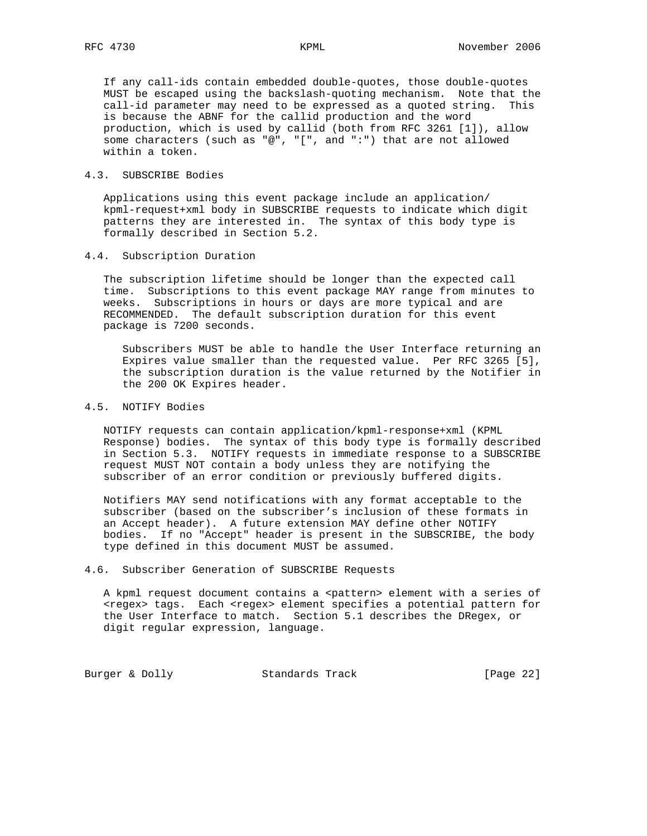If any call-ids contain embedded double-quotes, those double-quotes MUST be escaped using the backslash-quoting mechanism. Note that the call-id parameter may need to be expressed as a quoted string. This is because the ABNF for the callid production and the word production, which is used by callid (both from RFC 3261 [1]), allow some characters (such as "@", "[", and ":") that are not allowed within a token.

# 4.3. SUBSCRIBE Bodies

 Applications using this event package include an application/ kpml-request+xml body in SUBSCRIBE requests to indicate which digit patterns they are interested in. The syntax of this body type is formally described in Section 5.2.

# 4.4. Subscription Duration

 The subscription lifetime should be longer than the expected call time. Subscriptions to this event package MAY range from minutes to weeks. Subscriptions in hours or days are more typical and are RECOMMENDED. The default subscription duration for this event package is 7200 seconds.

 Subscribers MUST be able to handle the User Interface returning an Expires value smaller than the requested value. Per RFC 3265 [5], the subscription duration is the value returned by the Notifier in the 200 OK Expires header.

# 4.5. NOTIFY Bodies

 NOTIFY requests can contain application/kpml-response+xml (KPML Response) bodies. The syntax of this body type is formally described in Section 5.3. NOTIFY requests in immediate response to a SUBSCRIBE request MUST NOT contain a body unless they are notifying the subscriber of an error condition or previously buffered digits.

 Notifiers MAY send notifications with any format acceptable to the subscriber (based on the subscriber's inclusion of these formats in an Accept header). A future extension MAY define other NOTIFY bodies. If no "Accept" header is present in the SUBSCRIBE, the body type defined in this document MUST be assumed.

# 4.6. Subscriber Generation of SUBSCRIBE Requests

A kpml request document contains a <pattern> element with a series of <regex> tags. Each <regex> element specifies a potential pattern for the User Interface to match. Section 5.1 describes the DRegex, or digit regular expression, language.

Burger & Dolly Standards Track [Page 22]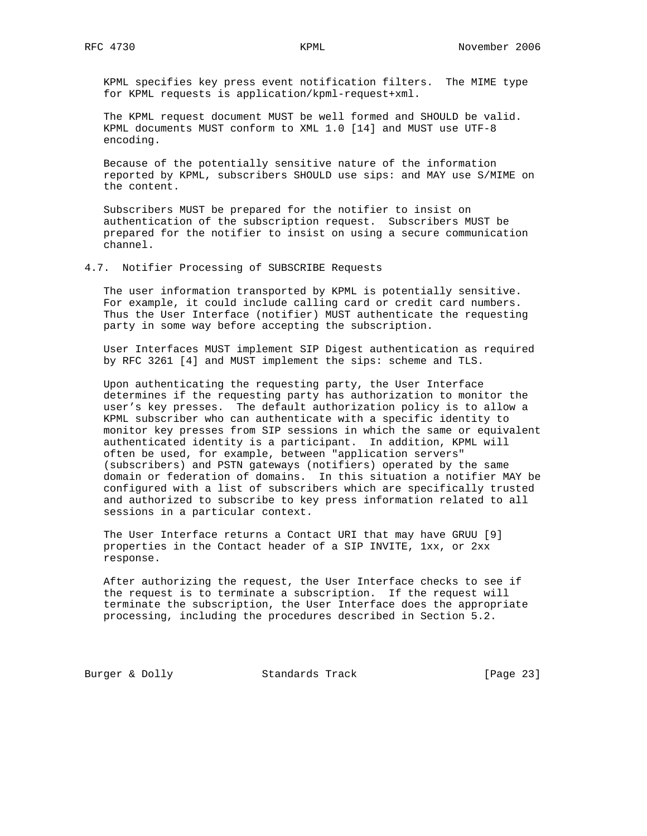KPML specifies key press event notification filters. The MIME type for KPML requests is application/kpml-request+xml.

 The KPML request document MUST be well formed and SHOULD be valid. KPML documents MUST conform to XML 1.0 [14] and MUST use UTF-8 encoding.

 Because of the potentially sensitive nature of the information reported by KPML, subscribers SHOULD use sips: and MAY use S/MIME on the content.

 Subscribers MUST be prepared for the notifier to insist on authentication of the subscription request. Subscribers MUST be prepared for the notifier to insist on using a secure communication channel.

4.7. Notifier Processing of SUBSCRIBE Requests

 The user information transported by KPML is potentially sensitive. For example, it could include calling card or credit card numbers. Thus the User Interface (notifier) MUST authenticate the requesting party in some way before accepting the subscription.

 User Interfaces MUST implement SIP Digest authentication as required by RFC 3261 [4] and MUST implement the sips: scheme and TLS.

 Upon authenticating the requesting party, the User Interface determines if the requesting party has authorization to monitor the user's key presses. The default authorization policy is to allow a KPML subscriber who can authenticate with a specific identity to monitor key presses from SIP sessions in which the same or equivalent authenticated identity is a participant. In addition, KPML will often be used, for example, between "application servers" (subscribers) and PSTN gateways (notifiers) operated by the same domain or federation of domains. In this situation a notifier MAY be configured with a list of subscribers which are specifically trusted and authorized to subscribe to key press information related to all sessions in a particular context.

 The User Interface returns a Contact URI that may have GRUU [9] properties in the Contact header of a SIP INVITE, 1xx, or 2xx response.

 After authorizing the request, the User Interface checks to see if the request is to terminate a subscription. If the request will terminate the subscription, the User Interface does the appropriate processing, including the procedures described in Section 5.2.

Burger & Dolly Standards Track [Page 23]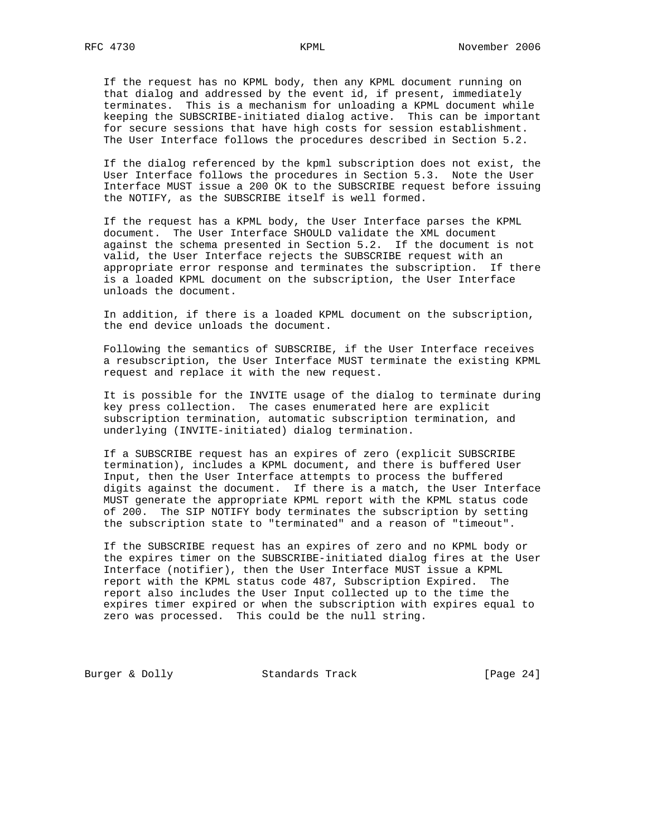If the request has no KPML body, then any KPML document running on that dialog and addressed by the event id, if present, immediately terminates. This is a mechanism for unloading a KPML document while keeping the SUBSCRIBE-initiated dialog active. This can be important for secure sessions that have high costs for session establishment. The User Interface follows the procedures described in Section 5.2.

 If the dialog referenced by the kpml subscription does not exist, the User Interface follows the procedures in Section 5.3. Note the User Interface MUST issue a 200 OK to the SUBSCRIBE request before issuing the NOTIFY, as the SUBSCRIBE itself is well formed.

 If the request has a KPML body, the User Interface parses the KPML document. The User Interface SHOULD validate the XML document against the schema presented in Section 5.2. If the document is not valid, the User Interface rejects the SUBSCRIBE request with an appropriate error response and terminates the subscription. If there is a loaded KPML document on the subscription, the User Interface unloads the document.

 In addition, if there is a loaded KPML document on the subscription, the end device unloads the document.

 Following the semantics of SUBSCRIBE, if the User Interface receives a resubscription, the User Interface MUST terminate the existing KPML request and replace it with the new request.

 It is possible for the INVITE usage of the dialog to terminate during key press collection. The cases enumerated here are explicit subscription termination, automatic subscription termination, and underlying (INVITE-initiated) dialog termination.

 If a SUBSCRIBE request has an expires of zero (explicit SUBSCRIBE termination), includes a KPML document, and there is buffered User Input, then the User Interface attempts to process the buffered digits against the document. If there is a match, the User Interface MUST generate the appropriate KPML report with the KPML status code of 200. The SIP NOTIFY body terminates the subscription by setting the subscription state to "terminated" and a reason of "timeout".

 If the SUBSCRIBE request has an expires of zero and no KPML body or the expires timer on the SUBSCRIBE-initiated dialog fires at the User Interface (notifier), then the User Interface MUST issue a KPML report with the KPML status code 487, Subscription Expired. The report also includes the User Input collected up to the time the expires timer expired or when the subscription with expires equal to zero was processed. This could be the null string.

Burger & Dolly Standards Track [Page 24]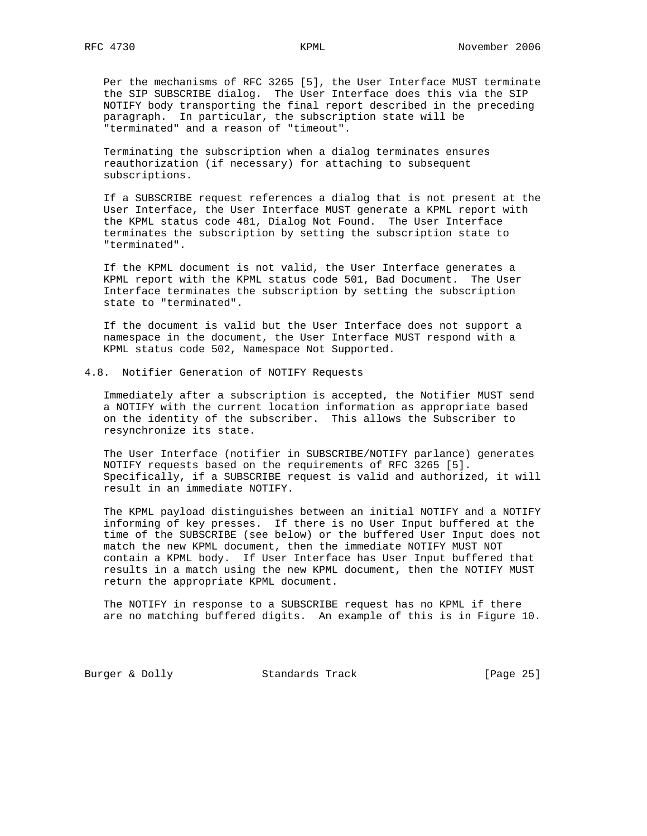Per the mechanisms of RFC 3265 [5], the User Interface MUST terminate the SIP SUBSCRIBE dialog. The User Interface does this via the SIP NOTIFY body transporting the final report described in the preceding paragraph. In particular, the subscription state will be "terminated" and a reason of "timeout".

 Terminating the subscription when a dialog terminates ensures reauthorization (if necessary) for attaching to subsequent subscriptions.

 If a SUBSCRIBE request references a dialog that is not present at the User Interface, the User Interface MUST generate a KPML report with the KPML status code 481, Dialog Not Found. The User Interface terminates the subscription by setting the subscription state to "terminated".

 If the KPML document is not valid, the User Interface generates a KPML report with the KPML status code 501, Bad Document. The User Interface terminates the subscription by setting the subscription state to "terminated".

 If the document is valid but the User Interface does not support a namespace in the document, the User Interface MUST respond with a KPML status code 502, Namespace Not Supported.

4.8. Notifier Generation of NOTIFY Requests

 Immediately after a subscription is accepted, the Notifier MUST send a NOTIFY with the current location information as appropriate based on the identity of the subscriber. This allows the Subscriber to resynchronize its state.

 The User Interface (notifier in SUBSCRIBE/NOTIFY parlance) generates NOTIFY requests based on the requirements of RFC 3265 [5]. Specifically, if a SUBSCRIBE request is valid and authorized, it will result in an immediate NOTIFY.

 The KPML payload distinguishes between an initial NOTIFY and a NOTIFY informing of key presses. If there is no User Input buffered at the time of the SUBSCRIBE (see below) or the buffered User Input does not match the new KPML document, then the immediate NOTIFY MUST NOT contain a KPML body. If User Interface has User Input buffered that results in a match using the new KPML document, then the NOTIFY MUST return the appropriate KPML document.

 The NOTIFY in response to a SUBSCRIBE request has no KPML if there are no matching buffered digits. An example of this is in Figure 10.

Burger & Dolly Standards Track [Page 25]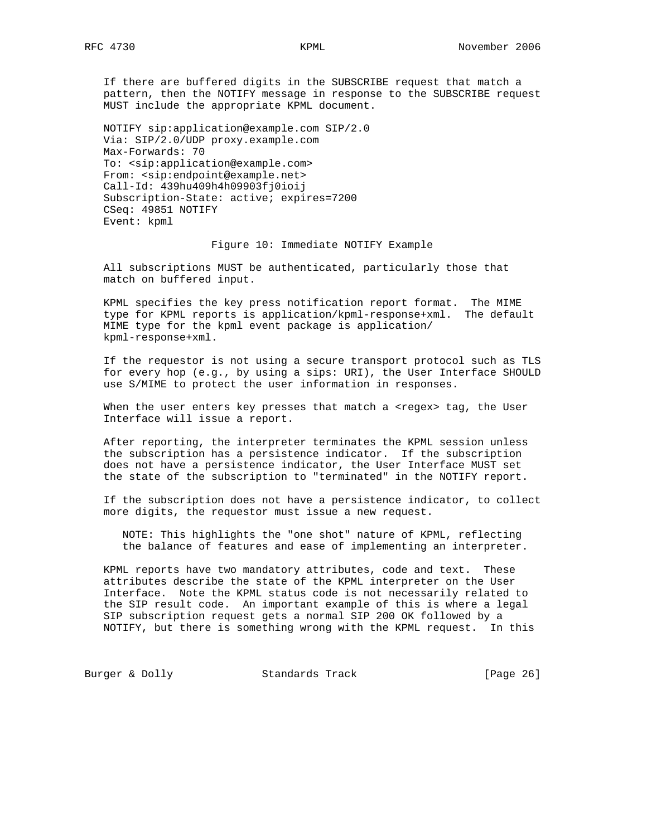If there are buffered digits in the SUBSCRIBE request that match a pattern, then the NOTIFY message in response to the SUBSCRIBE request MUST include the appropriate KPML document.

 NOTIFY sip:application@example.com SIP/2.0 Via: SIP/2.0/UDP proxy.example.com Max-Forwards: 70 To: <sip:application@example.com> From: <sip:endpoint@example.net> Call-Id: 439hu409h4h09903fj0ioij Subscription-State: active; expires=7200 CSeq: 49851 NOTIFY Event: kpml

### Figure 10: Immediate NOTIFY Example

 All subscriptions MUST be authenticated, particularly those that match on buffered input.

 KPML specifies the key press notification report format. The MIME type for KPML reports is application/kpml-response+xml. The default MIME type for the kpml event package is application/ kpml-response+xml.

 If the requestor is not using a secure transport protocol such as TLS for every hop (e.g., by using a sips: URI), the User Interface SHOULD use S/MIME to protect the user information in responses.

When the user enters key presses that match a <regex> tag, the User Interface will issue a report.

 After reporting, the interpreter terminates the KPML session unless the subscription has a persistence indicator. If the subscription does not have a persistence indicator, the User Interface MUST set the state of the subscription to "terminated" in the NOTIFY report.

 If the subscription does not have a persistence indicator, to collect more digits, the requestor must issue a new request.

 NOTE: This highlights the "one shot" nature of KPML, reflecting the balance of features and ease of implementing an interpreter.

 KPML reports have two mandatory attributes, code and text. These attributes describe the state of the KPML interpreter on the User Interface. Note the KPML status code is not necessarily related to the SIP result code. An important example of this is where a legal SIP subscription request gets a normal SIP 200 OK followed by a NOTIFY, but there is something wrong with the KPML request. In this

Burger & Dolly **Standards Track** [Page 26]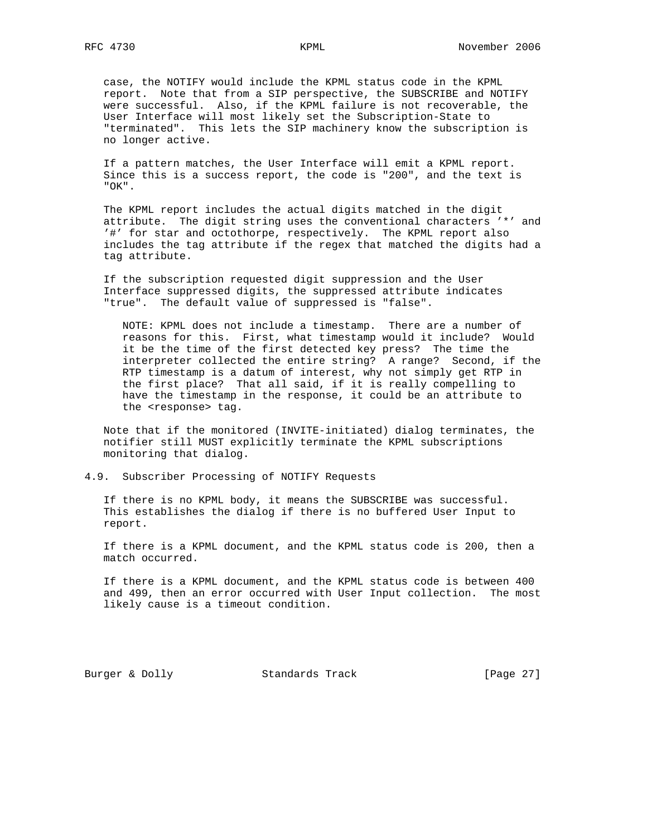case, the NOTIFY would include the KPML status code in the KPML report. Note that from a SIP perspective, the SUBSCRIBE and NOTIFY were successful. Also, if the KPML failure is not recoverable, the User Interface will most likely set the Subscription-State to "terminated". This lets the SIP machinery know the subscription is no longer active.

 If a pattern matches, the User Interface will emit a KPML report. Since this is a success report, the code is "200", and the text is "OK".

 The KPML report includes the actual digits matched in the digit attribute. The digit string uses the conventional characters '\*' and '#' for star and octothorpe, respectively. The KPML report also includes the tag attribute if the regex that matched the digits had a tag attribute.

 If the subscription requested digit suppression and the User Interface suppressed digits, the suppressed attribute indicates "true". The default value of suppressed is "false".

 NOTE: KPML does not include a timestamp. There are a number of reasons for this. First, what timestamp would it include? Would it be the time of the first detected key press? The time the interpreter collected the entire string? A range? Second, if the RTP timestamp is a datum of interest, why not simply get RTP in the first place? That all said, if it is really compelling to have the timestamp in the response, it could be an attribute to the <response> tag.

 Note that if the monitored (INVITE-initiated) dialog terminates, the notifier still MUST explicitly terminate the KPML subscriptions monitoring that dialog.

# 4.9. Subscriber Processing of NOTIFY Requests

 If there is no KPML body, it means the SUBSCRIBE was successful. This establishes the dialog if there is no buffered User Input to report.

 If there is a KPML document, and the KPML status code is 200, then a match occurred.

 If there is a KPML document, and the KPML status code is between 400 and 499, then an error occurred with User Input collection. The most likely cause is a timeout condition.

Burger & Dolly Standards Track [Page 27]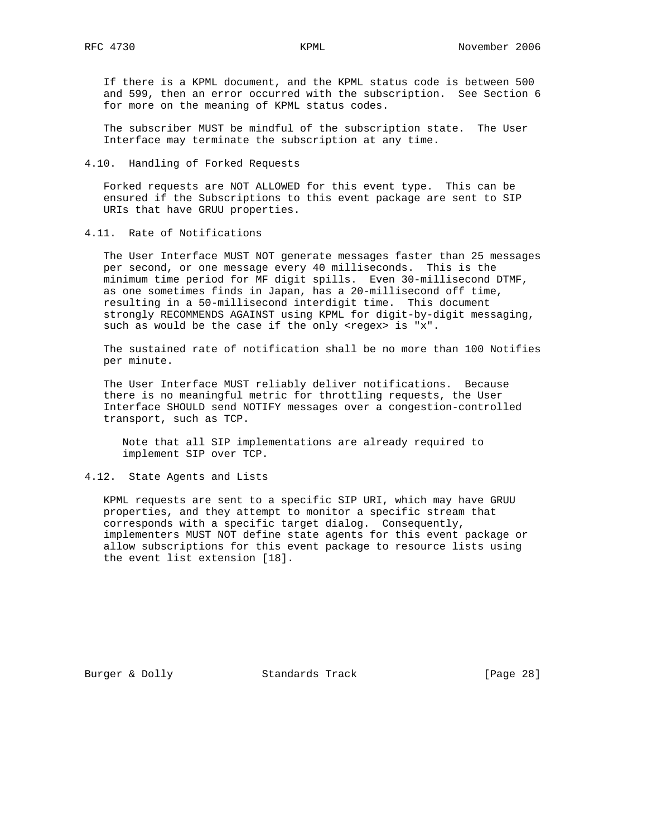If there is a KPML document, and the KPML status code is between 500 and 599, then an error occurred with the subscription. See Section 6 for more on the meaning of KPML status codes.

 The subscriber MUST be mindful of the subscription state. The User Interface may terminate the subscription at any time.

# 4.10. Handling of Forked Requests

 Forked requests are NOT ALLOWED for this event type. This can be ensured if the Subscriptions to this event package are sent to SIP URIs that have GRUU properties.

4.11. Rate of Notifications

 The User Interface MUST NOT generate messages faster than 25 messages per second, or one message every 40 milliseconds. This is the minimum time period for MF digit spills. Even 30-millisecond DTMF, as one sometimes finds in Japan, has a 20-millisecond off time, resulting in a 50-millisecond interdigit time. This document strongly RECOMMENDS AGAINST using KPML for digit-by-digit messaging, such as would be the case if the only <regex> is "x".

 The sustained rate of notification shall be no more than 100 Notifies per minute.

 The User Interface MUST reliably deliver notifications. Because there is no meaningful metric for throttling requests, the User Interface SHOULD send NOTIFY messages over a congestion-controlled transport, such as TCP.

 Note that all SIP implementations are already required to implement SIP over TCP.

# 4.12. State Agents and Lists

 KPML requests are sent to a specific SIP URI, which may have GRUU properties, and they attempt to monitor a specific stream that corresponds with a specific target dialog. Consequently, implementers MUST NOT define state agents for this event package or allow subscriptions for this event package to resource lists using the event list extension [18].

Burger & Dolly **Standards Track** [Page 28]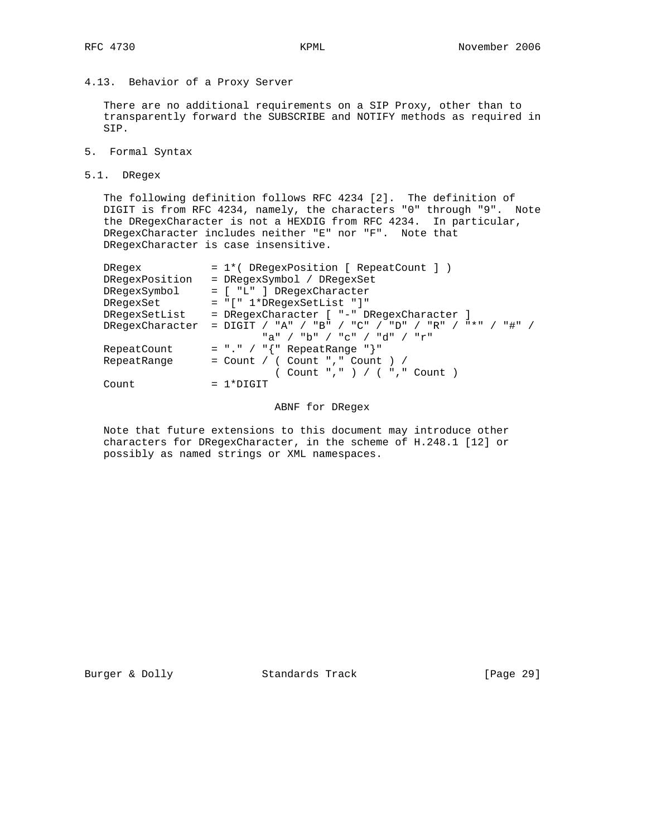# 4.13. Behavior of a Proxy Server

 There are no additional requirements on a SIP Proxy, other than to transparently forward the SUBSCRIBE and NOTIFY methods as required in SIP.

- 5. Formal Syntax
- 5.1. DRegex

 The following definition follows RFC 4234 [2]. The definition of DIGIT is from RFC 4234, namely, the characters "0" through "9". Note the DRegexCharacter is not a HEXDIG from RFC 4234. In particular, DRegexCharacter includes neither "E" nor "F". Note that DRegexCharacter is case insensitive.

| DRegex         | = 1*( DRegexPosition [ RepeatCount ] )                              |
|----------------|---------------------------------------------------------------------|
| DRegexPosition | = DRegexSymbol / DRegexSet                                          |
| DRegexSymbol   | = [ "L" ] DRegexCharacter                                           |
| DRegexSet      | $= "[' 1*DRequestSetList " ]"$                                      |
| DRegexSetList  | = DRegexCharacter [ "-" DRegexCharacter ]                           |
|                | DRegexCharacter = DIGIT / "A" / "B" / "C" / "D" / "R" / "*" / "#" / |
|                | "a" / "b" / "c" / "d" / "r"                                         |
| RepeatCount    | = "." / " $\{$ " RepeatRange "}"                                    |
| RepeatRange    | $=$ Count / ( Count "," Count ) /                                   |
|                | ( Count "," ) / ( "," Count )                                       |
| Count          | $= 1*DTGTT$                                                         |
|                |                                                                     |

### ABNF for DRegex

 Note that future extensions to this document may introduce other characters for DRegexCharacter, in the scheme of H.248.1 [12] or possibly as named strings or XML namespaces.

Burger & Dolly Standards Track [Page 29]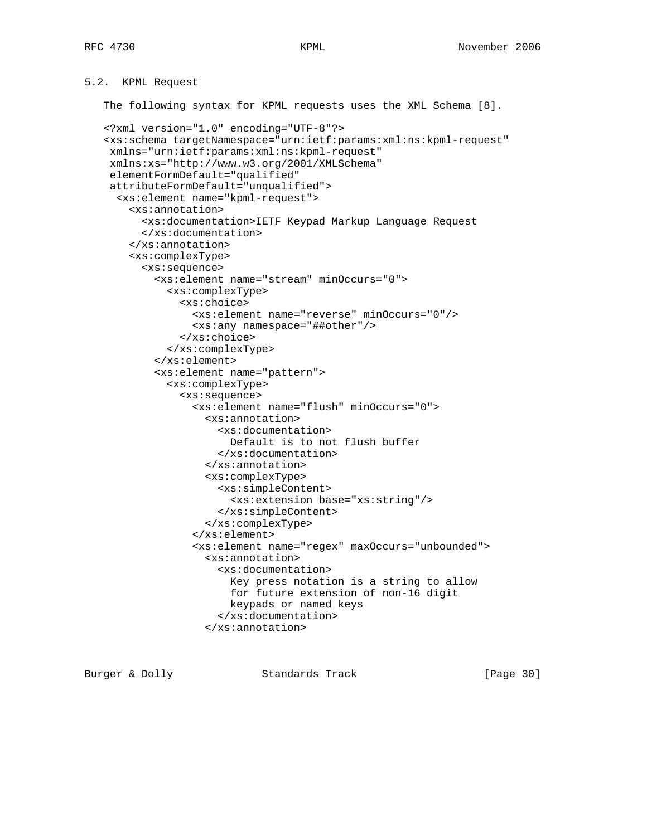# 5.2. KPML Request

The following syntax for KPML requests uses the XML Schema [8].

```
 <?xml version="1.0" encoding="UTF-8"?>
 <xs:schema targetNamespace="urn:ietf:params:xml:ns:kpml-request"
 xmlns="urn:ietf:params:xml:ns:kpml-request"
 xmlns:xs="http://www.w3.org/2001/XMLSchema"
 elementFormDefault="qualified"
 attributeFormDefault="unqualified">
   <xs:element name="kpml-request">
     <xs:annotation>
       <xs:documentation>IETF Keypad Markup Language Request
       </xs:documentation>
     </xs:annotation>
     <xs:complexType>
       <xs:sequence>
         <xs:element name="stream" minOccurs="0">
           <xs:complexType>
             <xs:choice>
               <xs:element name="reverse" minOccurs="0"/>
               <xs:any namespace="##other"/>
             </xs:choice>
           </xs:complexType>
         </xs:element>
         <xs:element name="pattern">
           <xs:complexType>
             <xs:sequence>
               <xs:element name="flush" minOccurs="0">
                  <xs:annotation>
                    <xs:documentation>
                      Default is to not flush buffer
                    </xs:documentation>
                  </xs:annotation>
                  <xs:complexType>
                    <xs:simpleContent>
                      <xs:extension base="xs:string"/>
                    </xs:simpleContent>
                  </xs:complexType>
                </xs:element>
               <xs:element name="regex" maxOccurs="unbounded">
                  <xs:annotation>
                    <xs:documentation>
                     Key press notation is a string to allow
                      for future extension of non-16 digit
                      keypads or named keys
                    </xs:documentation>
                  </xs:annotation>
```
Burger & Dolly Standards Track [Page 30]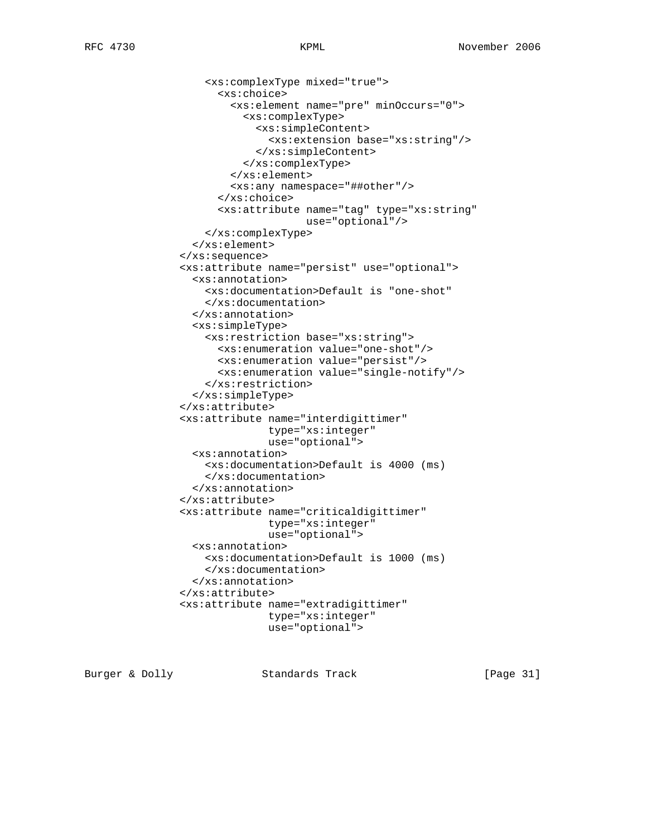```
 <xs:complexType mixed="true">
       <xs:choice>
         <xs:element name="pre" minOccurs="0">
           <xs:complexType>
             <xs:simpleContent>
               <xs:extension base="xs:string"/>
             </xs:simpleContent>
           </xs:complexType>
         </xs:element>
         <xs:any namespace="##other"/>
       </xs:choice>
       <xs:attribute name="tag" type="xs:string"
                      use="optional"/>
     </xs:complexType>
   </xs:element>
 </xs:sequence>
 <xs:attribute name="persist" use="optional">
   <xs:annotation>
     <xs:documentation>Default is "one-shot"
     </xs:documentation>
   </xs:annotation>
   <xs:simpleType>
     <xs:restriction base="xs:string">
       <xs:enumeration value="one-shot"/>
       <xs:enumeration value="persist"/>
       <xs:enumeration value="single-notify"/>
     </xs:restriction>
   </xs:simpleType>
 </xs:attribute>
 <xs:attribute name="interdigittimer"
              type="xs:integer"
               use="optional">
   <xs:annotation>
     <xs:documentation>Default is 4000 (ms)
     </xs:documentation>
   </xs:annotation>
 </xs:attribute>
 <xs:attribute name="criticaldigittimer"
               type="xs:integer"
               use="optional">
   <xs:annotation>
     <xs:documentation>Default is 1000 (ms)
     </xs:documentation>
   </xs:annotation>
 </xs:attribute>
 <xs:attribute name="extradigittimer"
               type="xs:integer"
               use="optional">
```
Burger & Dolly Standards Track [Page 31]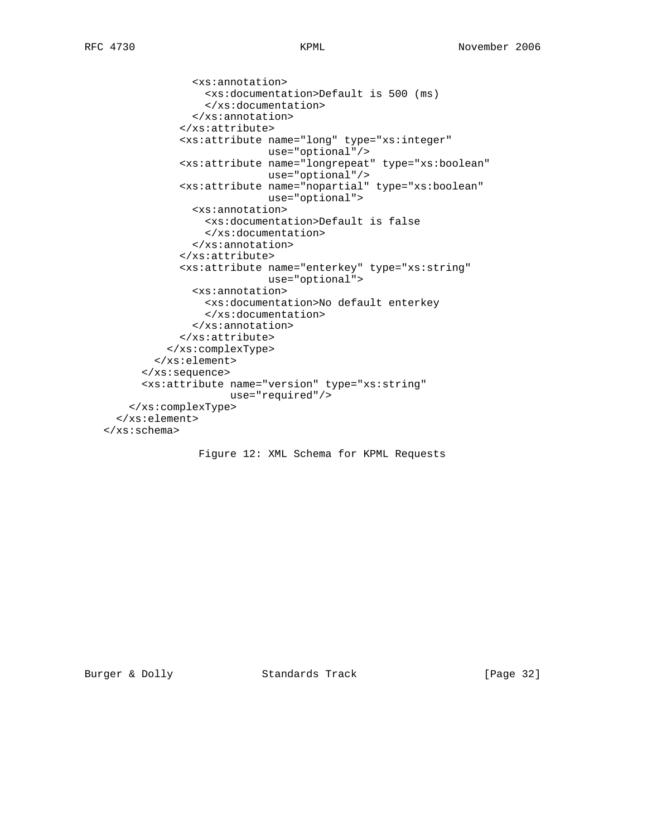```
 <xs:annotation>
                 <xs:documentation>Default is 500 (ms)
                 </xs:documentation>
               </xs:annotation>
             </xs:attribute>
             <xs:attribute name="long" type="xs:integer"
                           use="optional"/>
             <xs:attribute name="longrepeat" type="xs:boolean"
                           use="optional"/>
             <xs:attribute name="nopartial" type="xs:boolean"
                           use="optional">
               <xs:annotation>
                 <xs:documentation>Default is false
                 </xs:documentation>
               </xs:annotation>
             </xs:attribute>
             <xs:attribute name="enterkey" type="xs:string"
                          use="optional">
               <xs:annotation>
                 <xs:documentation>No default enterkey
                 </xs:documentation>
               </xs:annotation>
             </xs:attribute>
           </xs:complexType>
         </xs:element>
       </xs:sequence>
       <xs:attribute name="version" type="xs:string"
                     use="required"/>
     </xs:complexType>
   </xs:element>
 </xs:schema>
```
Figure 12: XML Schema for KPML Requests

Burger & Dolly Standards Track [Page 32]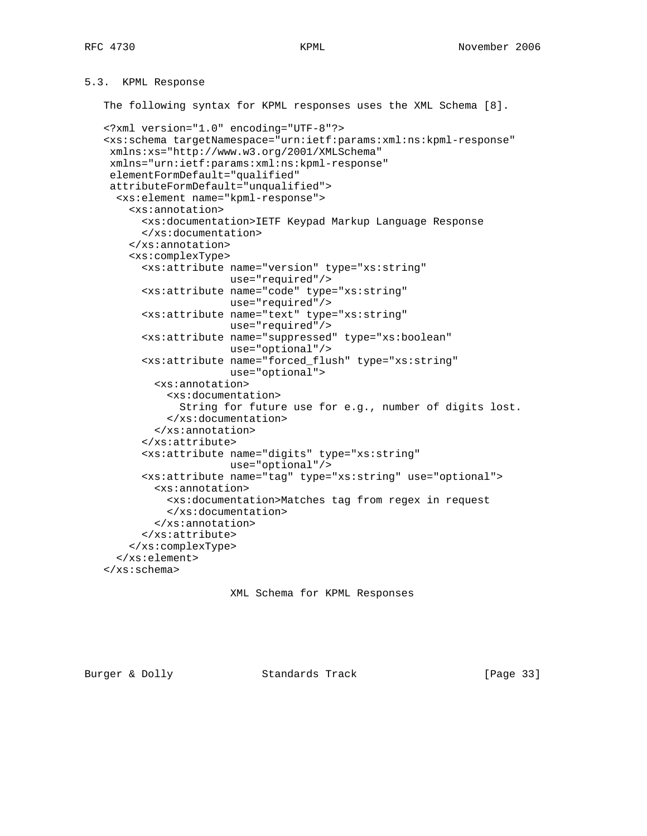# 5.3. KPML Response

The following syntax for KPML responses uses the XML Schema [8].

```
 <?xml version="1.0" encoding="UTF-8"?>
 <xs:schema targetNamespace="urn:ietf:params:xml:ns:kpml-response"
 xmlns:xs="http://www.w3.org/2001/XMLSchema"
 xmlns="urn:ietf:params:xml:ns:kpml-response"
 elementFormDefault="qualified"
 attributeFormDefault="unqualified">
   <xs:element name="kpml-response">
     <xs:annotation>
       <xs:documentation>IETF Keypad Markup Language Response
       </xs:documentation>
     </xs:annotation>
     <xs:complexType>
       <xs:attribute name="version" type="xs:string"
                     use="required"/>
       <xs:attribute name="code" type="xs:string"
                     use="required"/>
       <xs:attribute name="text" type="xs:string"
                     use="required"/>
       <xs:attribute name="suppressed" type="xs:boolean"
                     use="optional"/>
       <xs:attribute name="forced_flush" type="xs:string"
                     use="optional">
         <xs:annotation>
           <xs:documentation>
             String for future use for e.g., number of digits lost.
           </xs:documentation>
         </xs:annotation>
       </xs:attribute>
       <xs:attribute name="digits" type="xs:string"
                     use="optional"/>
       <xs:attribute name="tag" type="xs:string" use="optional">
         <xs:annotation>
           <xs:documentation>Matches tag from regex in request
           </xs:documentation>
         </xs:annotation>
       </xs:attribute>
     </xs:complexType>
   </xs:element>
 </xs:schema>
```

```
 XML Schema for KPML Responses
```
Burger & Dolly Standards Track [Page 33]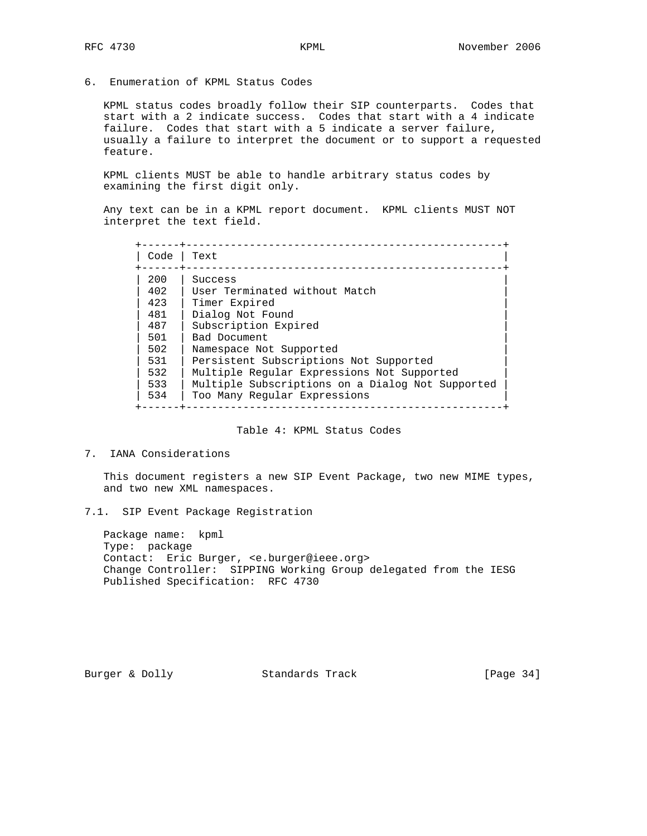6. Enumeration of KPML Status Codes

 KPML status codes broadly follow their SIP counterparts. Codes that start with a 2 indicate success. Codes that start with a 4 indicate failure. Codes that start with a 5 indicate a server failure, usually a failure to interpret the document or to support a requested feature.

 KPML clients MUST be able to handle arbitrary status codes by examining the first digit only.

 Any text can be in a KPML report document. KPML clients MUST NOT interpret the text field.

| Code | Text                                             |
|------|--------------------------------------------------|
| 200  | Success                                          |
| 402  | User Terminated without Match                    |
| 423  | Timer Expired                                    |
| 481  | Dialog Not Found                                 |
| 487  | Subscription Expired                             |
| 501  | Bad Document                                     |
| 502  | Namespace Not Supported                          |
| 531  | Persistent Subscriptions Not Supported           |
| 532  | Multiple Reqular Expressions Not Supported       |
| 533  | Multiple Subscriptions on a Dialog Not Supported |
| 534  | Too Many Regular Expressions                     |

Table 4: KPML Status Codes

# 7. IANA Considerations

 This document registers a new SIP Event Package, two new MIME types, and two new XML namespaces.

7.1. SIP Event Package Registration

 Package name: kpml Type: package Contact: Eric Burger, <e.burger@ieee.org> Change Controller: SIPPING Working Group delegated from the IESG Published Specification: RFC 4730

Burger & Dolly Standards Track [Page 34]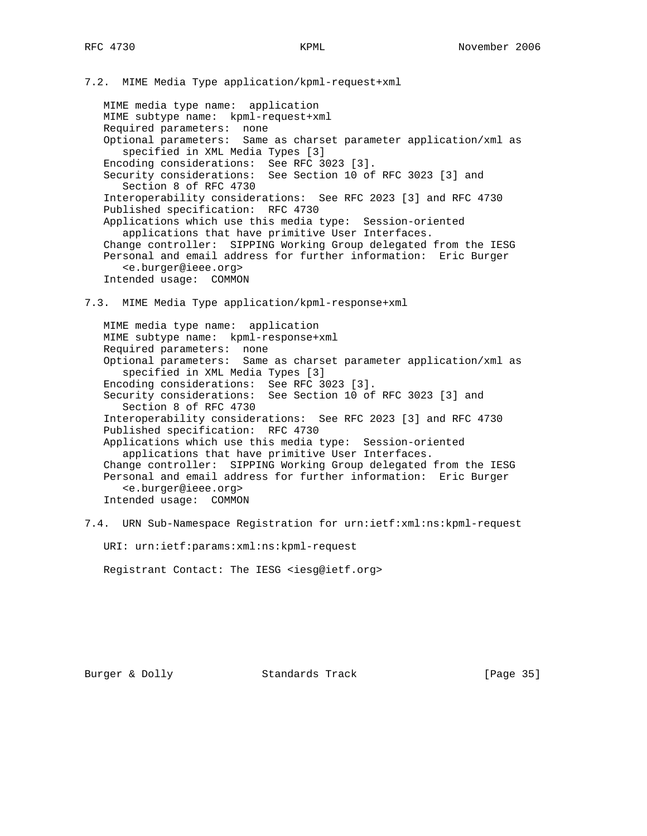7.2. MIME Media Type application/kpml-request+xml

 MIME media type name: application MIME subtype name: kpml-request+xml Required parameters: none Optional parameters: Same as charset parameter application/xml as specified in XML Media Types [3] Encoding considerations: See RFC 3023 [3]. Security considerations: See Section 10 of RFC 3023 [3] and Section 8 of RFC 4730 Interoperability considerations: See RFC 2023 [3] and RFC 4730 Published specification: RFC 4730 Applications which use this media type: Session-oriented applications that have primitive User Interfaces. Change controller: SIPPING Working Group delegated from the IESG Personal and email address for further information: Eric Burger <e.burger@ieee.org> Intended usage: COMMON

7.3. MIME Media Type application/kpml-response+xml

 MIME media type name: application MIME subtype name: kpml-response+xml Required parameters: none Optional parameters: Same as charset parameter application/xml as specified in XML Media Types [3] Encoding considerations: See RFC 3023 [3]. Security considerations: See Section 10 of RFC 3023 [3] and Section 8 of RFC 4730 Interoperability considerations: See RFC 2023 [3] and RFC 4730 Published specification: RFC 4730 Applications which use this media type: Session-oriented applications that have primitive User Interfaces. Change controller: SIPPING Working Group delegated from the IESG Personal and email address for further information: Eric Burger <e.burger@ieee.org> Intended usage: COMMON

7.4. URN Sub-Namespace Registration for urn:ietf:xml:ns:kpml-request

URI: urn:ietf:params:xml:ns:kpml-request

Registrant Contact: The IESG <iesg@ietf.org>

Burger & Dolly **Standards Track** [Page 35]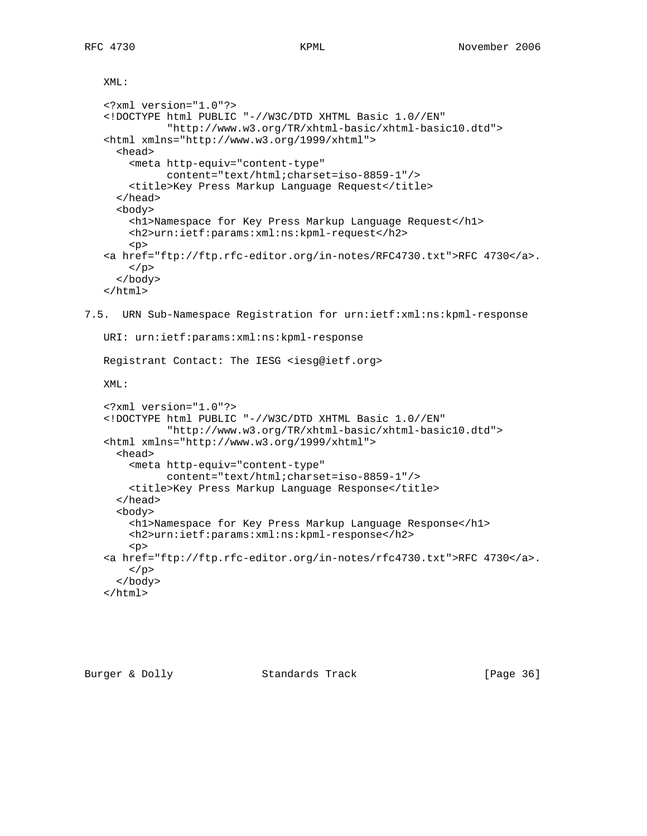XML:

```
 <?xml version="1.0"?>
    <!DOCTYPE html PUBLIC "-//W3C/DTD XHTML Basic 1.0//EN"
              "http://www.w3.org/TR/xhtml-basic/xhtml-basic10.dtd">
    <html xmlns="http://www.w3.org/1999/xhtml">
      <head>
        <meta http-equiv="content-type"
              content="text/html;charset=iso-8859-1"/>
        <title>Key Press Markup Language Request</title>
      </head>
      <body>
        <h1>Namespace for Key Press Markup Language Request</h1>
        <h2>urn:ietf:params:xml:ns:kpml-request</h2>
       <sub>0</sub></sub>
    <a href="ftp://ftp.rfc-editor.org/in-notes/RFC4730.txt">RFC 4730</a>.
        </p>
      </body>
    </html>
7.5. URN Sub-Namespace Registration for urn:ietf:xml:ns:kpml-response
    URI: urn:ietf:params:xml:ns:kpml-response
   Registrant Contact: The IESG <iesg@ietf.org>
```
XML:

```
 <?xml version="1.0"?>
 <!DOCTYPE html PUBLIC "-//W3C/DTD XHTML Basic 1.0//EN"
           "http://www.w3.org/TR/xhtml-basic/xhtml-basic10.dtd">
 <html xmlns="http://www.w3.org/1999/xhtml">
   <head>
     <meta http-equiv="content-type"
           content="text/html;charset=iso-8859-1"/>
     <title>Key Press Markup Language Response</title>
   </head>
   <body>
     <h1>Namespace for Key Press Markup Language Response</h1>
     <h2>urn:ietf:params:xml:ns:kpml-response</h2>
     <p>
 <a href="ftp://ftp.rfc-editor.org/in-notes/rfc4730.txt">RFC 4730</a>.
    \langle/p>
   </body>
 </html>
```
Burger & Dolly **Standards Track** [Page 36]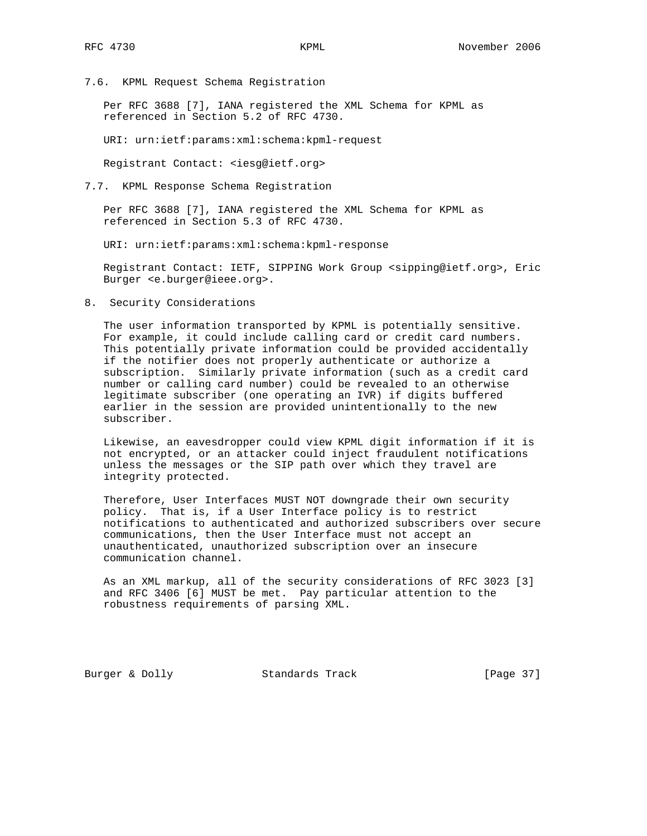7.6. KPML Request Schema Registration

 Per RFC 3688 [7], IANA registered the XML Schema for KPML as referenced in Section 5.2 of RFC 4730.

URI: urn:ietf:params:xml:schema:kpml-request

Registrant Contact: <iesg@ietf.org>

7.7. KPML Response Schema Registration

 Per RFC 3688 [7], IANA registered the XML Schema for KPML as referenced in Section 5.3 of RFC 4730.

URI: urn:ietf:params:xml:schema:kpml-response

 Registrant Contact: IETF, SIPPING Work Group <sipping@ietf.org>, Eric Burger <e.burger@ieee.org>.

8. Security Considerations

 The user information transported by KPML is potentially sensitive. For example, it could include calling card or credit card numbers. This potentially private information could be provided accidentally if the notifier does not properly authenticate or authorize a subscription. Similarly private information (such as a credit card number or calling card number) could be revealed to an otherwise legitimate subscriber (one operating an IVR) if digits buffered earlier in the session are provided unintentionally to the new subscriber.

 Likewise, an eavesdropper could view KPML digit information if it is not encrypted, or an attacker could inject fraudulent notifications unless the messages or the SIP path over which they travel are integrity protected.

 Therefore, User Interfaces MUST NOT downgrade their own security policy. That is, if a User Interface policy is to restrict notifications to authenticated and authorized subscribers over secure communications, then the User Interface must not accept an unauthenticated, unauthorized subscription over an insecure communication channel.

 As an XML markup, all of the security considerations of RFC 3023 [3] and RFC 3406 [6] MUST be met. Pay particular attention to the robustness requirements of parsing XML.

Burger & Dolly Standards Track [Page 37]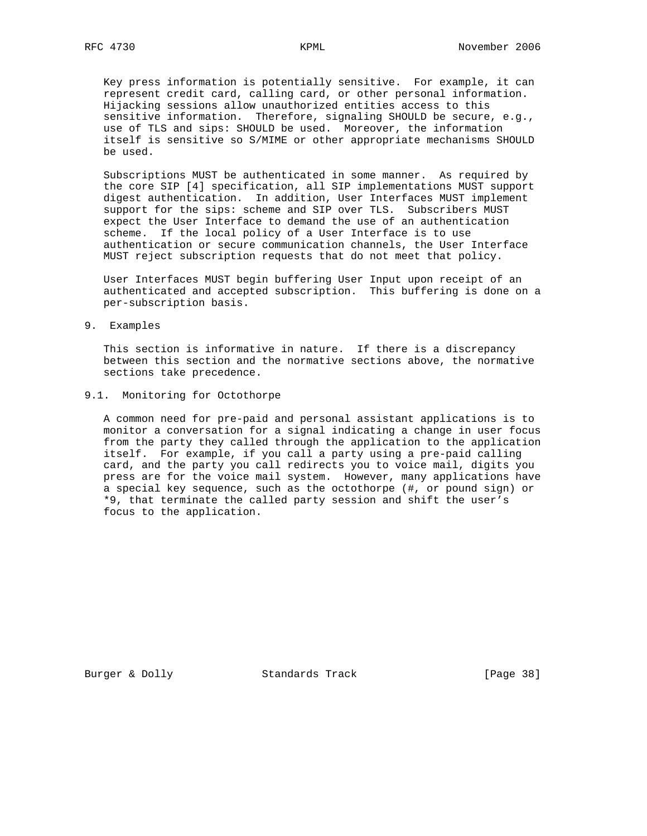Key press information is potentially sensitive. For example, it can represent credit card, calling card, or other personal information. Hijacking sessions allow unauthorized entities access to this sensitive information. Therefore, signaling SHOULD be secure, e.g., use of TLS and sips: SHOULD be used. Moreover, the information itself is sensitive so S/MIME or other appropriate mechanisms SHOULD be used.

 Subscriptions MUST be authenticated in some manner. As required by the core SIP [4] specification, all SIP implementations MUST support digest authentication. In addition, User Interfaces MUST implement support for the sips: scheme and SIP over TLS. Subscribers MUST expect the User Interface to demand the use of an authentication scheme. If the local policy of a User Interface is to use authentication or secure communication channels, the User Interface MUST reject subscription requests that do not meet that policy.

 User Interfaces MUST begin buffering User Input upon receipt of an authenticated and accepted subscription. This buffering is done on a per-subscription basis.

9. Examples

 This section is informative in nature. If there is a discrepancy between this section and the normative sections above, the normative sections take precedence.

# 9.1. Monitoring for Octothorpe

 A common need for pre-paid and personal assistant applications is to monitor a conversation for a signal indicating a change in user focus from the party they called through the application to the application itself. For example, if you call a party using a pre-paid calling card, and the party you call redirects you to voice mail, digits you press are for the voice mail system. However, many applications have a special key sequence, such as the octothorpe (#, or pound sign) or \*9, that terminate the called party session and shift the user's focus to the application.

Burger & Dolly Standards Track [Page 38]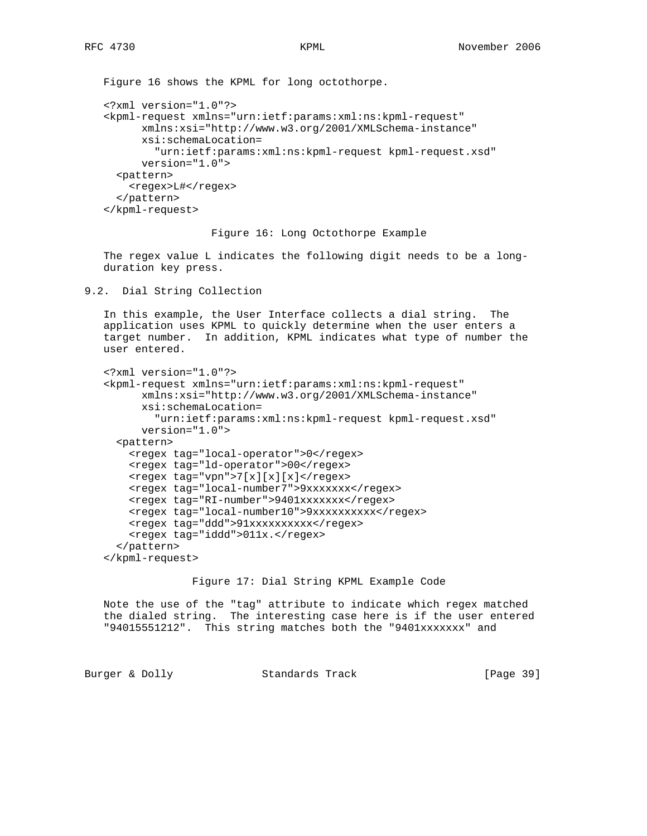```
 Figure 16 shows the KPML for long octothorpe.
 <?xml version="1.0"?>
 <kpml-request xmlns="urn:ietf:params:xml:ns:kpml-request"
       xmlns:xsi="http://www.w3.org/2001/XMLSchema-instance"
       xsi:schemaLocation=
         "urn:ietf:params:xml:ns:kpml-request kpml-request.xsd"
       version="1.0">
   <pattern>
    <regex>L#</regex>
   </pattern>
 </kpml-request>
```
Figure 16: Long Octothorpe Example

 The regex value L indicates the following digit needs to be a long duration key press.

```
9.2. Dial String Collection
```
 In this example, the User Interface collects a dial string. The application uses KPML to quickly determine when the user enters a target number. In addition, KPML indicates what type of number the user entered.

```
 <?xml version="1.0"?>
 <kpml-request xmlns="urn:ietf:params:xml:ns:kpml-request"
       xmlns:xsi="http://www.w3.org/2001/XMLSchema-instance"
       xsi:schemaLocation=
         "urn:ietf:params:xml:ns:kpml-request kpml-request.xsd"
       version="1.0">
   <pattern>
     <regex tag="local-operator">0</regex>
     <regex tag="ld-operator">00</regex>
     <regex tag="vpn">7[x][x][x]</regex>
     <regex tag="local-number7">9xxxxxxx</regex>
     <regex tag="RI-number">9401xxxxxxx</regex>
     <regex tag="local-number10">9xxxxxxxxxx</regex>
     <regex tag="ddd">91xxxxxxxxxx</regex>
    <regex tag="iddd">011x.</regex>
   </pattern>
 </kpml-request>
```
Figure 17: Dial String KPML Example Code

 Note the use of the "tag" attribute to indicate which regex matched the dialed string. The interesting case here is if the user entered "94015551212". This string matches both the "9401xxxxxxx" and

Burger & Dolly **Standards Track** [Page 39]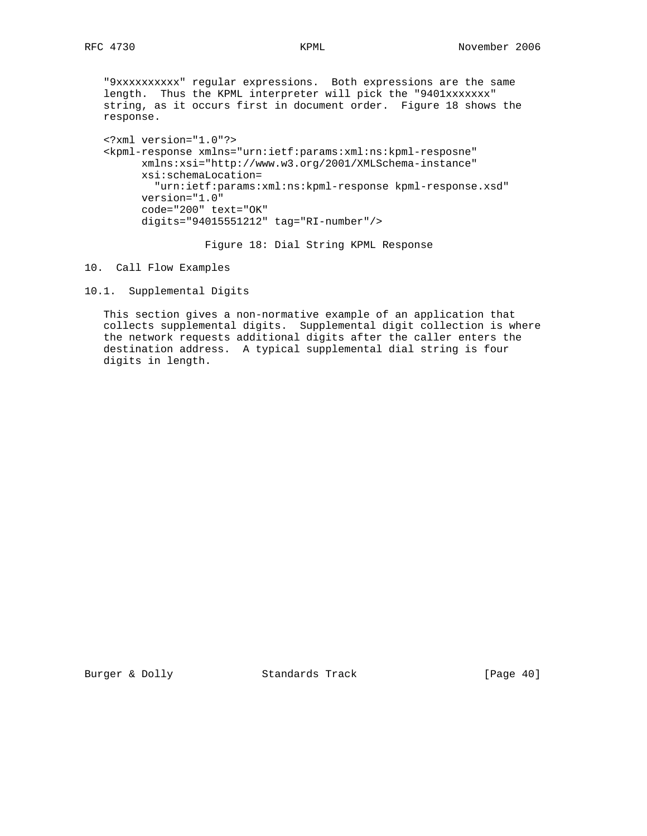"9xxxxxxxxxx" regular expressions. Both expressions are the same length. Thus the KPML interpreter will pick the "9401xxxxxxx" string, as it occurs first in document order. Figure 18 shows the response.

 <?xml version="1.0"?> <kpml-response xmlns="urn:ietf:params:xml:ns:kpml-resposne" xmlns:xsi="http://www.w3.org/2001/XMLSchema-instance" xsi:schemaLocation= "urn:ietf:params:xml:ns:kpml-response kpml-response.xsd" version="1.0" code="200" text="OK" digits="94015551212" tag="RI-number"/>

Figure 18: Dial String KPML Response

10. Call Flow Examples

10.1. Supplemental Digits

 This section gives a non-normative example of an application that collects supplemental digits. Supplemental digit collection is where the network requests additional digits after the caller enters the destination address. A typical supplemental dial string is four digits in length.

Burger & Dolly Standards Track [Page 40]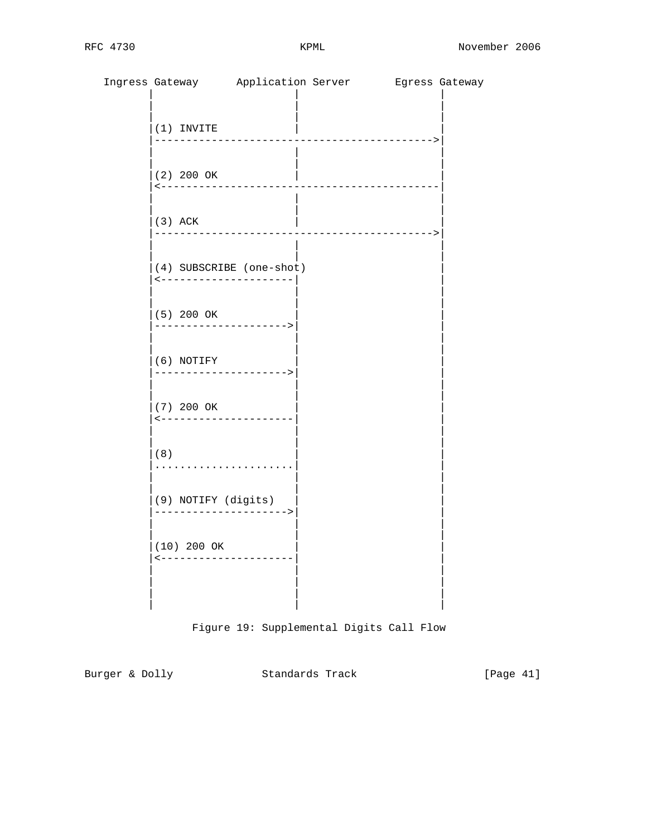|                                                   |                     | Ingress Gateway Application Server Bgress Gateway |  |
|---------------------------------------------------|---------------------|---------------------------------------------------|--|
| $(1)$ INVITE                                      |                     |                                                   |  |
| $(2)$ 200 OK<br><-----------------                |                     | ________________                                  |  |
| $(3)$ ACK                                         |                     |                                                   |  |
| (4) SUBSCRIBE (one-shot)<br>--------------------- |                     |                                                   |  |
| $(5)$ 200 OK                                      |                     |                                                   |  |
| $(6)$ NOTIFY<br>--------------------->            |                     |                                                   |  |
| (7) 200 OK<br>---------------------               |                     |                                                   |  |
| (8)                                               |                     |                                                   |  |
| (9) NOTIFY (digits)                               | ------------------> |                                                   |  |
| (10) 200 OK<br>---------------------              |                     |                                                   |  |
|                                                   |                     |                                                   |  |

Figure 19: Supplemental Digits Call Flow

Burger & Dolly Standards Track [Page 41]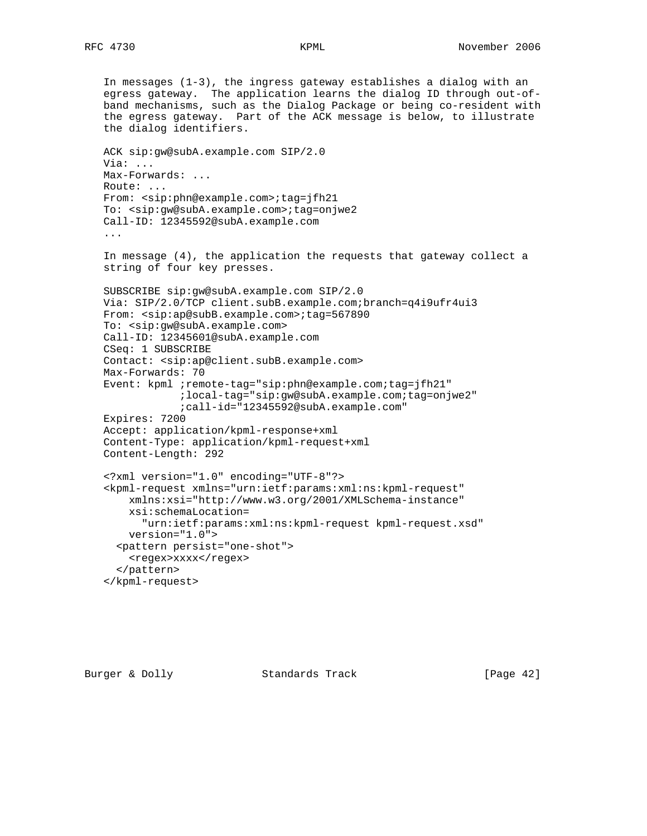In messages (1-3), the ingress gateway establishes a dialog with an egress gateway. The application learns the dialog ID through out-of band mechanisms, such as the Dialog Package or being co-resident with the egress gateway. Part of the ACK message is below, to illustrate the dialog identifiers. ACK sip:gw@subA.example.com SIP/2.0 Via: ... Max-Forwards: ... Route: ... From: <sip:phn@example.com>;tag=jfh21 To: <sip:gw@subA.example.com>;tag=onjwe2 Call-ID: 12345592@subA.example.com ... In message (4), the application the requests that gateway collect a string of four key presses. SUBSCRIBE sip:gw@subA.example.com SIP/2.0 Via: SIP/2.0/TCP client.subB.example.com;branch=q4i9ufr4ui3 From:  $<$ sip:ap@subB.example.com>;tag=567890 To: <sip:gw@subA.example.com> Call-ID: 12345601@subA.example.com CSeq: 1 SUBSCRIBE Contact: <sip:ap@client.subB.example.com> Max-Forwards: 70 Event: kpml ;remote-tag="sip:phn@example.com;tag=jfh21" ;local-tag="sip:gw@subA.example.com;tag=onjwe2" ;call-id="12345592@subA.example.com" Expires: 7200 Accept: application/kpml-response+xml Content-Type: application/kpml-request+xml Content-Length: 292 <?xml version="1.0" encoding="UTF-8"?> <kpml-request xmlns="urn:ietf:params:xml:ns:kpml-request" xmlns:xsi="http://www.w3.org/2001/XMLSchema-instance" xsi:schemaLocation= "urn:ietf:params:xml:ns:kpml-request kpml-request.xsd" version="1.0"> <pattern persist="one-shot"> <regex>xxxx</regex> </pattern> </kpml-request>

Burger & Dolly Standards Track [Page 42]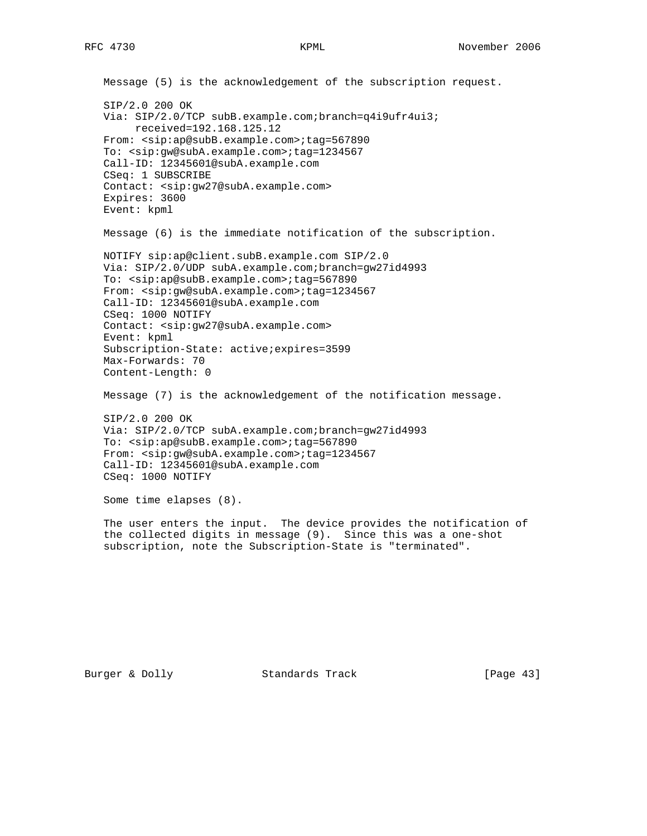```
 Message (5) is the acknowledgement of the subscription request.
 SIP/2.0 200 OK
 Via: SIP/2.0/TCP subB.example.com;branch=q4i9ufr4ui3;
      received=192.168.125.12
 From: <sip:ap@subB.example.com>;tag=567890
 To: <sip:gw@subA.example.com>;tag=1234567
 Call-ID: 12345601@subA.example.com
 CSeq: 1 SUBSCRIBE
 Contact: <sip:gw27@subA.example.com>
 Expires: 3600
 Event: kpml
 Message (6) is the immediate notification of the subscription.
 NOTIFY sip:ap@client.subB.example.com SIP/2.0
 Via: SIP/2.0/UDP subA.example.com;branch=gw27id4993
 To: <sip:ap@subB.example.com>;tag=567890
 From: <sip:gw@subA.example.com>;tag=1234567
 Call-ID: 12345601@subA.example.com
 CSeq: 1000 NOTIFY
 Contact: <sip:gw27@subA.example.com>
 Event: kpml
 Subscription-State: active;expires=3599
 Max-Forwards: 70
 Content-Length: 0
 Message (7) is the acknowledgement of the notification message.
 SIP/2.0 200 OK
 Via: SIP/2.0/TCP subA.example.com;branch=gw27id4993
 To: <sip:ap@subB.example.com>;tag=567890
From: <sip:gw@subA.example.com>;tag=1234567
 Call-ID: 12345601@subA.example.com
 CSeq: 1000 NOTIFY
 Some time elapses (8).
 The user enters the input. The device provides the notification of
```
 the collected digits in message (9). Since this was a one-shot subscription, note the Subscription-State is "terminated".

Burger & Dolly Standards Track [Page 43]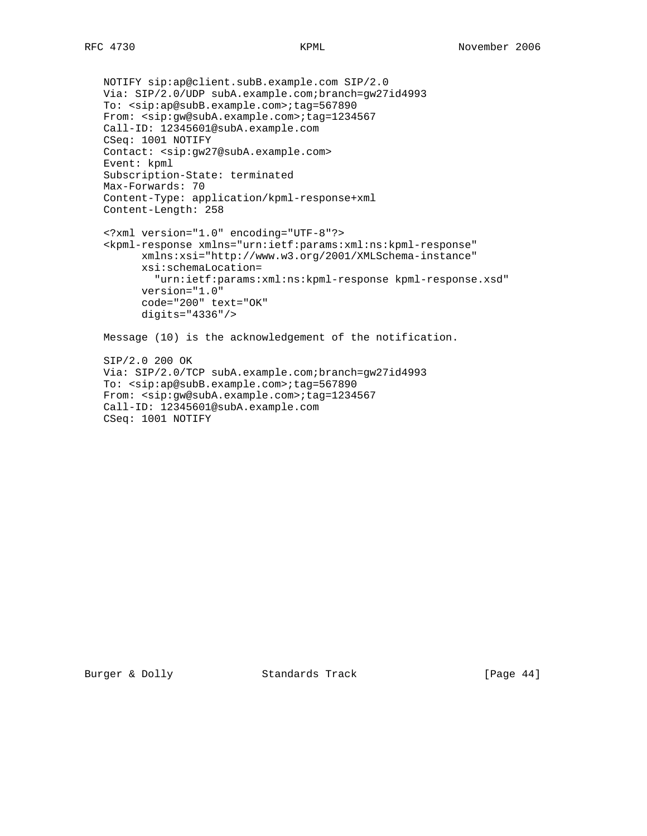```
 NOTIFY sip:ap@client.subB.example.com SIP/2.0
 Via: SIP/2.0/UDP subA.example.com;branch=gw27id4993
 To: <sip:ap@subB.example.com>;tag=567890
 From: <sip:gw@subA.example.com>;tag=1234567
 Call-ID: 12345601@subA.example.com
 CSeq: 1001 NOTIFY
 Contact: <sip:gw27@subA.example.com>
 Event: kpml
 Subscription-State: terminated
 Max-Forwards: 70
 Content-Type: application/kpml-response+xml
 Content-Length: 258
 <?xml version="1.0" encoding="UTF-8"?>
 <kpml-response xmlns="urn:ietf:params:xml:ns:kpml-response"
       xmlns:xsi="http://www.w3.org/2001/XMLSchema-instance"
       xsi:schemaLocation=
         "urn:ietf:params:xml:ns:kpml-response kpml-response.xsd"
       version="1.0"
       code="200" text="OK"
       digits="4336"/>
 Message (10) is the acknowledgement of the notification.
 SIP/2.0 200 OK
 Via: SIP/2.0/TCP subA.example.com;branch=gw27id4993
 To: <sip:ap@subB.example.com>;tag=567890
 From: <sip:gw@subA.example.com>;tag=1234567
 Call-ID: 12345601@subA.example.com
```
CSeq: 1001 NOTIFY

Burger & Dolly Standards Track [Page 44]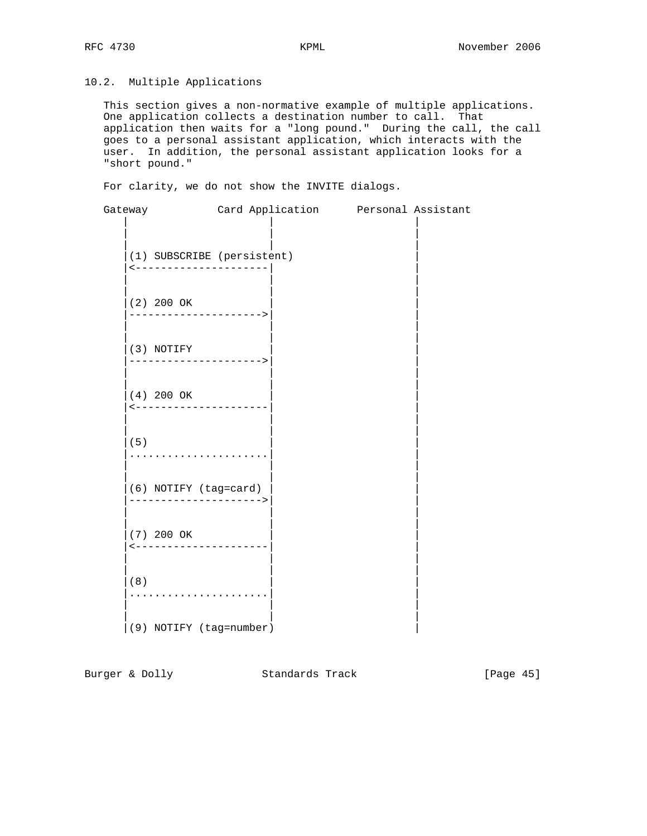# 10.2. Multiple Applications

 This section gives a non-normative example of multiple applications. One application collects a destination number to call. That application then waits for a "long pound." During the call, the call goes to a personal assistant application, which interacts with the user. In addition, the personal assistant application looks for a "short pound."

For clarity, we do not show the INVITE dialogs.

| Gateway                                               | Card Application Personal Assistant |  |
|-------------------------------------------------------|-------------------------------------|--|
| (1) SUBSCRIBE (persistent)<br><---------------------- |                                     |  |
| $(2)$ 200 OK<br>---------------------->               |                                     |  |
| (3) NOTIFY<br>--------------------->                  |                                     |  |
| $(4)$ 200 OK<br><----------------------               |                                     |  |
| (5)<br>.                                              |                                     |  |
| (6) NOTIFY (tag=card)                                 |                                     |  |
| (7) 200 OK<br><---------------------                  |                                     |  |
| (8)                                                   |                                     |  |
|                                                       |                                     |  |

 $|(9)$  NOTIFY (tag=number)  $|$ 

Burger & Dolly Standards Track [Page 45]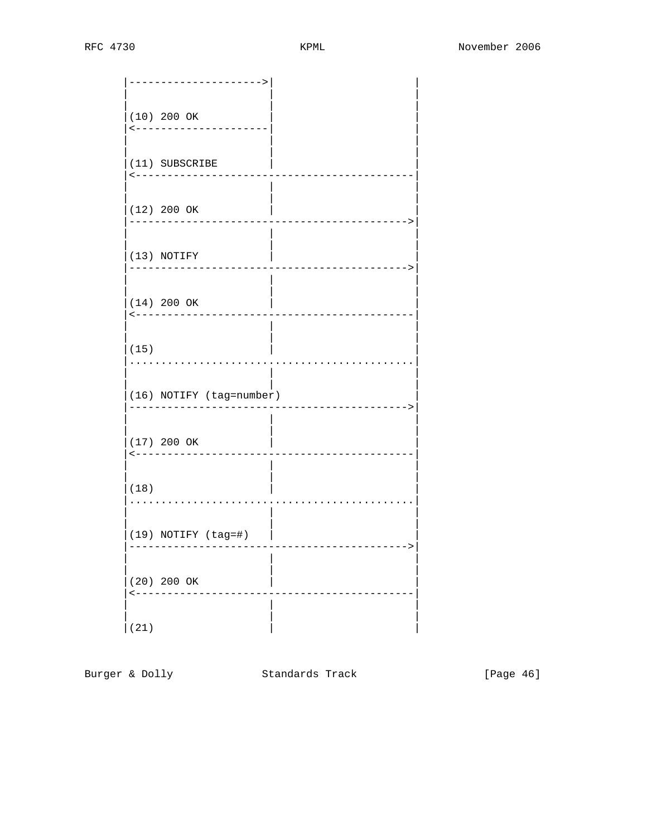| ------->                                                  |
|-----------------------------------------------------------|
| $(10)$ 200 OK<br>. <u>.</u> .<br>$\overline{\phantom{0}}$ |
| (11) SUBSCRIBE<br>------------                            |
| $(12)$ 200 OK<br>$--- - >$                                |
| $ (13)$ NOTIFY<br>-------------->                         |
| $(14)$ 200 OK<br><--------------                          |
| (15)                                                      |
| $(16)$ NOTIFY (tag=number)<br>------------->              |
| $(17)$ 200 OK<br>--------------                           |
| (18)                                                      |
| $(19)$ NOTIFY $(tag=\#)$                                  |
| (20) 200 OK<br>$\lt$ $-$                                  |
| (21)                                                      |

Burger & Dolly Standards Track

[Page 46]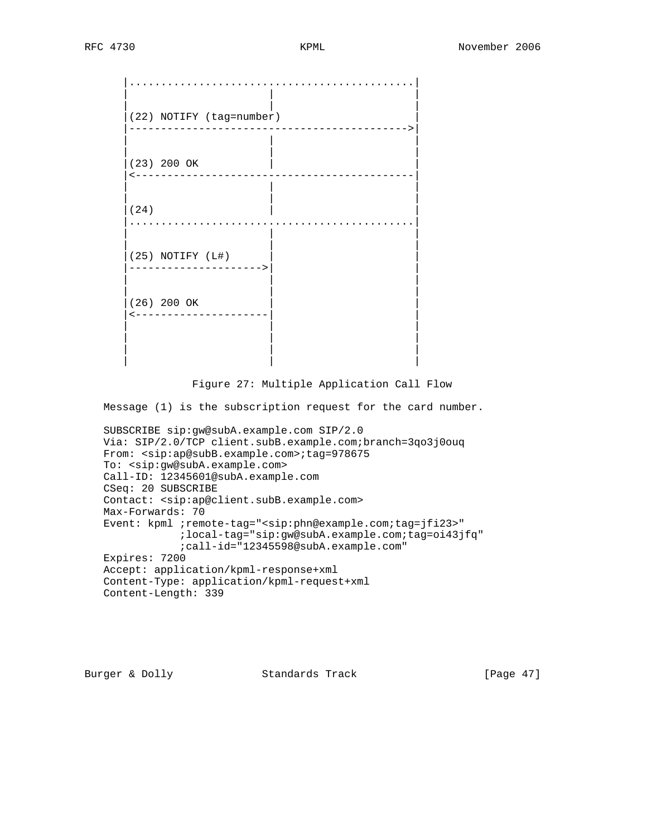| (22) NOTIFY (tag=number)<br>$---->$   |
|---------------------------------------|
| (23) 200 OK<br>$\leftarrow$ $  -$     |
| (24)                                  |
| (25) NOTIFY (L#)<br>$-----&>$         |
| (26) 200 OK<br>$\leftarrow$ – – – – – |
|                                       |

# Figure 27: Multiple Application Call Flow

Message (1) is the subscription request for the card number.

```
 SUBSCRIBE sip:gw@subA.example.com SIP/2.0
 Via: SIP/2.0/TCP client.subB.example.com;branch=3qo3j0ouq
From: <sip:ap@subB.example.com>;tag=978675
 To: <sip:gw@subA.example.com>
 Call-ID: 12345601@subA.example.com
 CSeq: 20 SUBSCRIBE
 Contact: <sip:ap@client.subB.example.com>
 Max-Forwards: 70
 Event: kpml ;remote-tag="<sip:phn@example.com;tag=jfi23>"
             ;local-tag="sip:gw@subA.example.com;tag=oi43jfq"
             ;call-id="12345598@subA.example.com"
 Expires: 7200
 Accept: application/kpml-response+xml
 Content-Type: application/kpml-request+xml
 Content-Length: 339
```
Burger & Dolly Standards Track [Page 47]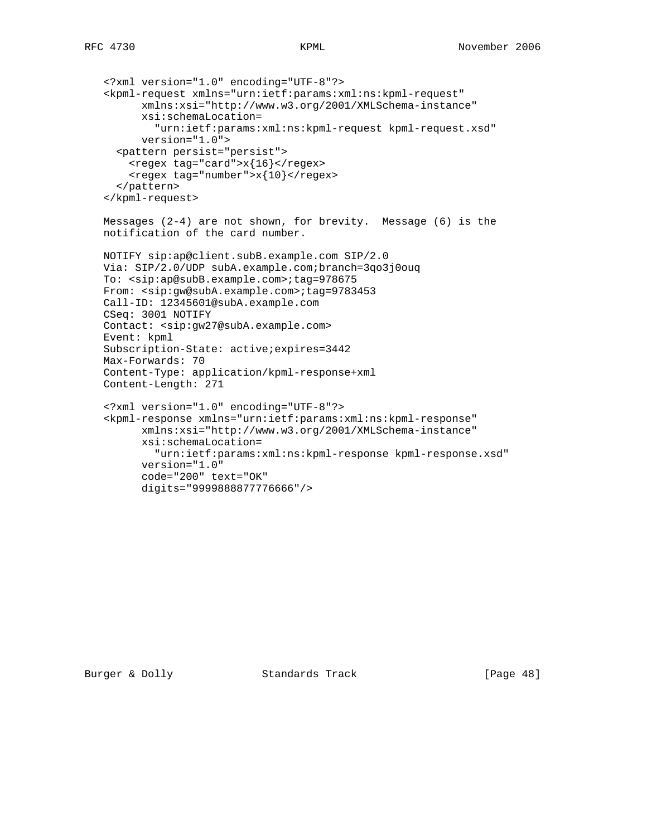```
 <?xml version="1.0" encoding="UTF-8"?>
 <kpml-request xmlns="urn:ietf:params:xml:ns:kpml-request"
       xmlns:xsi="http://www.w3.org/2001/XMLSchema-instance"
       xsi:schemaLocation=
         "urn:ietf:params:xml:ns:kpml-request kpml-request.xsd"
       version="1.0">
   <pattern persist="persist">
    <regex tag="card">x{16}</regex>
    <regex tag="number">x{10} </regex>
   </pattern>
 </kpml-request>
 Messages (2-4) are not shown, for brevity. Message (6) is the
 notification of the card number.
 NOTIFY sip:ap@client.subB.example.com SIP/2.0
 Via: SIP/2.0/UDP subA.example.com;branch=3qo3j0ouq
 To: <sip:ap@subB.example.com>;tag=978675
 From: <sip:gw@subA.example.com>;tag=9783453
 Call-ID: 12345601@subA.example.com
 CSeq: 3001 NOTIFY
 Contact: <sip:gw27@subA.example.com>
 Event: kpml
 Subscription-State: active;expires=3442
 Max-Forwards: 70
 Content-Type: application/kpml-response+xml
 Content-Length: 271
 <?xml version="1.0" encoding="UTF-8"?>
 <kpml-response xmlns="urn:ietf:params:xml:ns:kpml-response"
       xmlns:xsi="http://www.w3.org/2001/XMLSchema-instance"
       xsi:schemaLocation=
         "urn:ietf:params:xml:ns:kpml-response kpml-response.xsd"
       version="1.0"
       code="200" text="OK"
       digits="9999888877776666"/>
```
Burger & Dolly Standards Track [Page 48]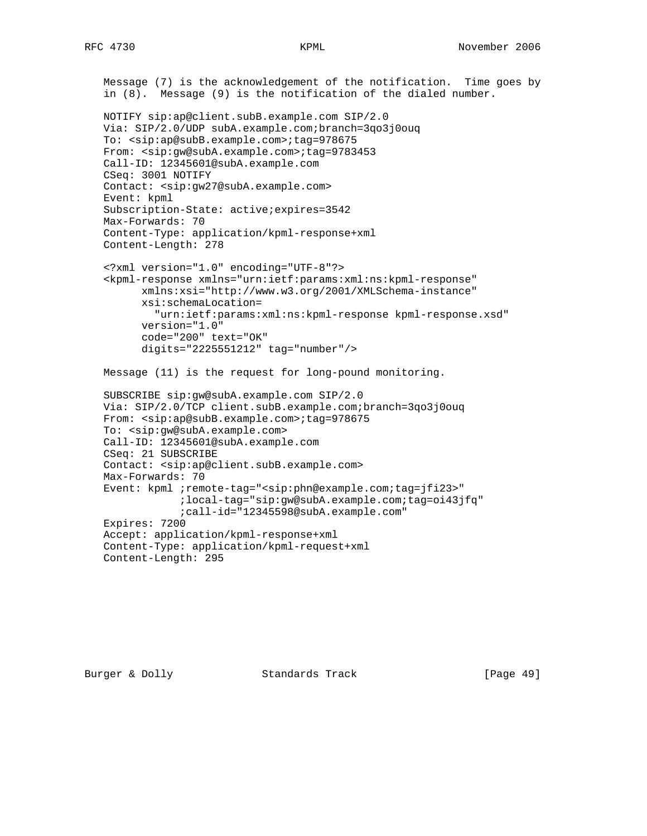```
 Message (7) is the acknowledgement of the notification. Time goes by
 in (8). Message (9) is the notification of the dialed number.
 NOTIFY sip:ap@client.subB.example.com SIP/2.0
 Via: SIP/2.0/UDP subA.example.com;branch=3qo3j0ouq
 To: <sip:ap@subB.example.com>;tag=978675
 From: <sip:gw@subA.example.com>;tag=9783453
 Call-ID: 12345601@subA.example.com
 CSeq: 3001 NOTIFY
 Contact: <sip:gw27@subA.example.com>
 Event: kpml
 Subscription-State: active;expires=3542
 Max-Forwards: 70
 Content-Type: application/kpml-response+xml
 Content-Length: 278
 <?xml version="1.0" encoding="UTF-8"?>
 <kpml-response xmlns="urn:ietf:params:xml:ns:kpml-response"
       xmlns:xsi="http://www.w3.org/2001/XMLSchema-instance"
       xsi:schemaLocation=
         "urn:ietf:params:xml:ns:kpml-response kpml-response.xsd"
       version="1.0"
       code="200" text="OK"
       digits="2225551212" tag="number"/>
 Message (11) is the request for long-pound monitoring.
 SUBSCRIBE sip:gw@subA.example.com SIP/2.0
 Via: SIP/2.0/TCP client.subB.example.com;branch=3qo3j0ouq
From: <sip:ap@subB.example.com>;tag=978675
 To: <sip:gw@subA.example.com>
 Call-ID: 12345601@subA.example.com
 CSeq: 21 SUBSCRIBE
 Contact: <sip:ap@client.subB.example.com>
 Max-Forwards: 70
Event: kpml ; remote-tag="<sip:phn@example.com; tag=jfi23>"
             ;local-tag="sip:gw@subA.example.com;tag=oi43jfq"
             ;call-id="12345598@subA.example.com"
 Expires: 7200
 Accept: application/kpml-response+xml
 Content-Type: application/kpml-request+xml
 Content-Length: 295
```
Burger & Dolly Standards Track [Page 49]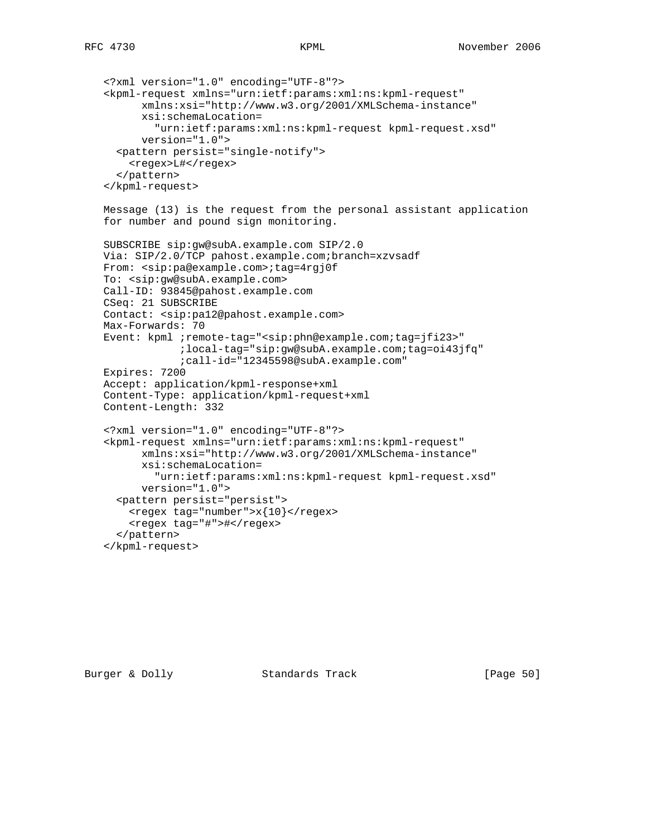```
 <?xml version="1.0" encoding="UTF-8"?>
 <kpml-request xmlns="urn:ietf:params:xml:ns:kpml-request"
       xmlns:xsi="http://www.w3.org/2001/XMLSchema-instance"
       xsi:schemaLocation=
         "urn:ietf:params:xml:ns:kpml-request kpml-request.xsd"
       version="1.0">
   <pattern persist="single-notify">
     <regex>L#</regex>
   </pattern>
 </kpml-request>
 Message (13) is the request from the personal assistant application
 for number and pound sign monitoring.
 SUBSCRIBE sip:gw@subA.example.com SIP/2.0
 Via: SIP/2.0/TCP pahost.example.com;branch=xzvsadf
 From: <sip:pa@example.com>;tag=4rgj0f
 To: <sip:gw@subA.example.com>
 Call-ID: 93845@pahost.example.com
 CSeq: 21 SUBSCRIBE
 Contact: <sip:pa12@pahost.example.com>
 Max-Forwards: 70
 Event: kpml ;remote-tag="<sip:phn@example.com;tag=jfi23>"
             ;local-tag="sip:gw@subA.example.com;tag=oi43jfq"
             ;call-id="12345598@subA.example.com"
 Expires: 7200
 Accept: application/kpml-response+xml
 Content-Type: application/kpml-request+xml
 Content-Length: 332
 <?xml version="1.0" encoding="UTF-8"?>
 <kpml-request xmlns="urn:ietf:params:xml:ns:kpml-request"
       xmlns:xsi="http://www.w3.org/2001/XMLSchema-instance"
       xsi:schemaLocation=
         "urn:ietf:params:xml:ns:kpml-request kpml-request.xsd"
       version="1.0">
   <pattern persist="persist">
    <regex tag="number">x{10} </regex>
     <regex tag="#">#</regex>
   </pattern>
 </kpml-request>
```
Burger & Dolly **Standards Track** [Page 50]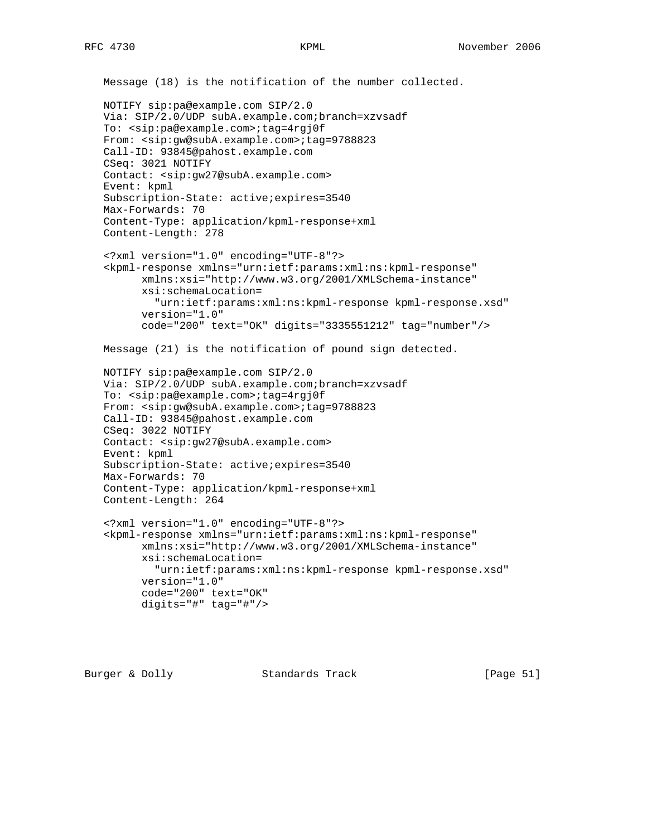```
 Message (18) is the notification of the number collected.
 NOTIFY sip:pa@example.com SIP/2.0
 Via: SIP/2.0/UDP subA.example.com;branch=xzvsadf
 To: <sip:pa@example.com>;tag=4rgj0f
 From: <sip:gw@subA.example.com>;tag=9788823
 Call-ID: 93845@pahost.example.com
 CSeq: 3021 NOTIFY
 Contact: <sip:gw27@subA.example.com>
 Event: kpml
 Subscription-State: active;expires=3540
 Max-Forwards: 70
 Content-Type: application/kpml-response+xml
 Content-Length: 278
 <?xml version="1.0" encoding="UTF-8"?>
 <kpml-response xmlns="urn:ietf:params:xml:ns:kpml-response"
       xmlns:xsi="http://www.w3.org/2001/XMLSchema-instance"
       xsi:schemaLocation=
         "urn:ietf:params:xml:ns:kpml-response kpml-response.xsd"
       version="1.0"
       code="200" text="OK" digits="3335551212" tag="number"/>
 Message (21) is the notification of pound sign detected.
 NOTIFY sip:pa@example.com SIP/2.0
 Via: SIP/2.0/UDP subA.example.com;branch=xzvsadf
 To: <sip:pa@example.com>;tag=4rgj0f
 From: <sip:gw@subA.example.com>;tag=9788823
 Call-ID: 93845@pahost.example.com
 CSeq: 3022 NOTIFY
 Contact: <sip:gw27@subA.example.com>
 Event: kpml
 Subscription-State: active;expires=3540
 Max-Forwards: 70
 Content-Type: application/kpml-response+xml
 Content-Length: 264
 <?xml version="1.0" encoding="UTF-8"?>
 <kpml-response xmlns="urn:ietf:params:xml:ns:kpml-response"
       xmlns:xsi="http://www.w3.org/2001/XMLSchema-instance"
       xsi:schemaLocation=
         "urn:ietf:params:xml:ns:kpml-response kpml-response.xsd"
       version="1.0"
       code="200" text="OK"
       digits="#" tag="#"/>
```
Burger & Dolly Standards Track [Page 51]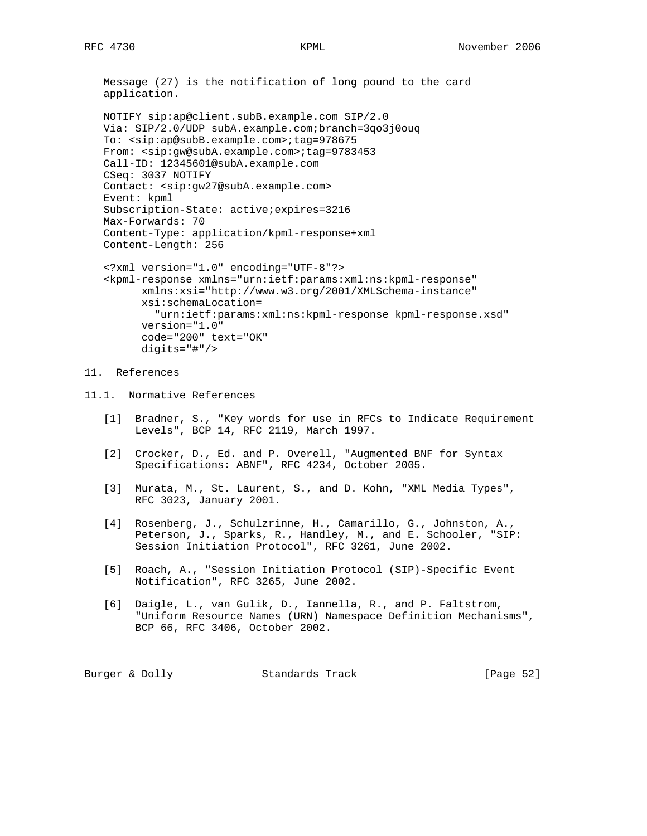Message (27) is the notification of long pound to the card application.

```
 NOTIFY sip:ap@client.subB.example.com SIP/2.0
 Via: SIP/2.0/UDP subA.example.com;branch=3qo3j0ouq
 To: <sip:ap@subB.example.com>;tag=978675
 From: <sip:gw@subA.example.com>;tag=9783453
 Call-ID: 12345601@subA.example.com
 CSeq: 3037 NOTIFY
 Contact: <sip:gw27@subA.example.com>
 Event: kpml
 Subscription-State: active;expires=3216
 Max-Forwards: 70
 Content-Type: application/kpml-response+xml
 Content-Length: 256
 <?xml version="1.0" encoding="UTF-8"?>
 <kpml-response xmlns="urn:ietf:params:xml:ns:kpml-response"
       xmlns:xsi="http://www.w3.org/2001/XMLSchema-instance"
       xsi:schemaLocation=
```
 "urn:ietf:params:xml:ns:kpml-response kpml-response.xsd" version="1.0" code="200" text="OK"

# 11. References

11.1. Normative References

digits="#"/>

- [1] Bradner, S., "Key words for use in RFCs to Indicate Requirement Levels", BCP 14, RFC 2119, March 1997.
- [2] Crocker, D., Ed. and P. Overell, "Augmented BNF for Syntax Specifications: ABNF", RFC 4234, October 2005.
- [3] Murata, M., St. Laurent, S., and D. Kohn, "XML Media Types", RFC 3023, January 2001.
- [4] Rosenberg, J., Schulzrinne, H., Camarillo, G., Johnston, A., Peterson, J., Sparks, R., Handley, M., and E. Schooler, "SIP: Session Initiation Protocol", RFC 3261, June 2002.
- [5] Roach, A., "Session Initiation Protocol (SIP)-Specific Event Notification", RFC 3265, June 2002.
- [6] Daigle, L., van Gulik, D., Iannella, R., and P. Faltstrom, "Uniform Resource Names (URN) Namespace Definition Mechanisms", BCP 66, RFC 3406, October 2002.

Burger & Dolly **Standards Track** [Page 52]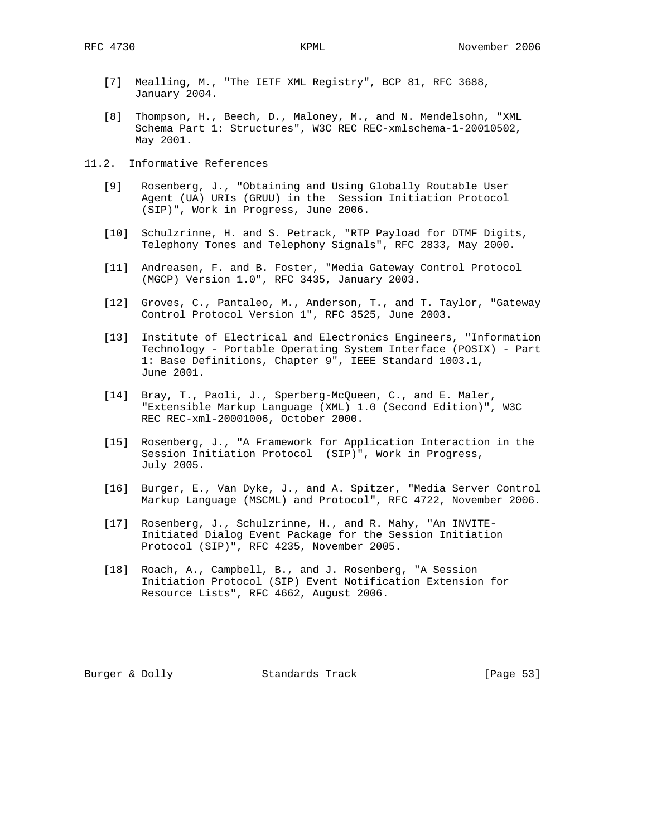- [7] Mealling, M., "The IETF XML Registry", BCP 81, RFC 3688, January 2004.
- [8] Thompson, H., Beech, D., Maloney, M., and N. Mendelsohn, "XML Schema Part 1: Structures", W3C REC REC-xmlschema-1-20010502, May 2001.
- 11.2. Informative References
	- [9] Rosenberg, J., "Obtaining and Using Globally Routable User Agent (UA) URIs (GRUU) in the Session Initiation Protocol (SIP)", Work in Progress, June 2006.
	- [10] Schulzrinne, H. and S. Petrack, "RTP Payload for DTMF Digits, Telephony Tones and Telephony Signals", RFC 2833, May 2000.
	- [11] Andreasen, F. and B. Foster, "Media Gateway Control Protocol (MGCP) Version 1.0", RFC 3435, January 2003.
	- [12] Groves, C., Pantaleo, M., Anderson, T., and T. Taylor, "Gateway Control Protocol Version 1", RFC 3525, June 2003.
	- [13] Institute of Electrical and Electronics Engineers, "Information Technology - Portable Operating System Interface (POSIX) - Part 1: Base Definitions, Chapter 9", IEEE Standard 1003.1, June 2001.
	- [14] Bray, T., Paoli, J., Sperberg-McQueen, C., and E. Maler, "Extensible Markup Language (XML) 1.0 (Second Edition)", W3C REC REC-xml-20001006, October 2000.
	- [15] Rosenberg, J., "A Framework for Application Interaction in the Session Initiation Protocol (SIP)", Work in Progress, July 2005.
	- [16] Burger, E., Van Dyke, J., and A. Spitzer, "Media Server Control Markup Language (MSCML) and Protocol", RFC 4722, November 2006.
	- [17] Rosenberg, J., Schulzrinne, H., and R. Mahy, "An INVITE- Initiated Dialog Event Package for the Session Initiation Protocol (SIP)", RFC 4235, November 2005.
	- [18] Roach, A., Campbell, B., and J. Rosenberg, "A Session Initiation Protocol (SIP) Event Notification Extension for Resource Lists", RFC 4662, August 2006.

Burger & Dolly **Standards Track** [Page 53]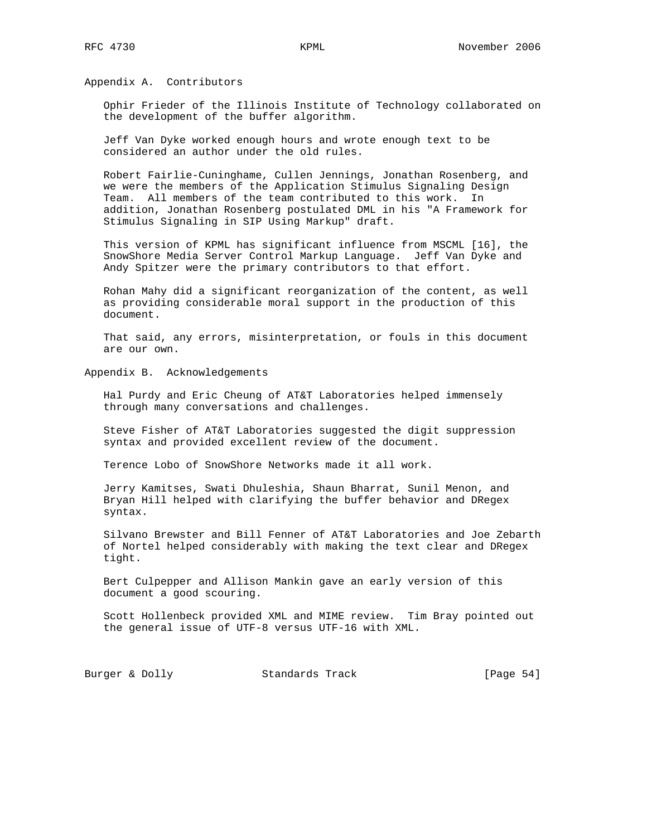Appendix A. Contributors

 Ophir Frieder of the Illinois Institute of Technology collaborated on the development of the buffer algorithm.

 Jeff Van Dyke worked enough hours and wrote enough text to be considered an author under the old rules.

 Robert Fairlie-Cuninghame, Cullen Jennings, Jonathan Rosenberg, and we were the members of the Application Stimulus Signaling Design Team. All members of the team contributed to this work. In addition, Jonathan Rosenberg postulated DML in his "A Framework for Stimulus Signaling in SIP Using Markup" draft.

 This version of KPML has significant influence from MSCML [16], the SnowShore Media Server Control Markup Language. Jeff Van Dyke and Andy Spitzer were the primary contributors to that effort.

 Rohan Mahy did a significant reorganization of the content, as well as providing considerable moral support in the production of this document.

 That said, any errors, misinterpretation, or fouls in this document are our own.

Appendix B. Acknowledgements

 Hal Purdy and Eric Cheung of AT&T Laboratories helped immensely through many conversations and challenges.

 Steve Fisher of AT&T Laboratories suggested the digit suppression syntax and provided excellent review of the document.

Terence Lobo of SnowShore Networks made it all work.

 Jerry Kamitses, Swati Dhuleshia, Shaun Bharrat, Sunil Menon, and Bryan Hill helped with clarifying the buffer behavior and DRegex syntax.

 Silvano Brewster and Bill Fenner of AT&T Laboratories and Joe Zebarth of Nortel helped considerably with making the text clear and DRegex tight.

 Bert Culpepper and Allison Mankin gave an early version of this document a good scouring.

 Scott Hollenbeck provided XML and MIME review. Tim Bray pointed out the general issue of UTF-8 versus UTF-16 with XML.

Burger & Dolly Standards Track [Page 54]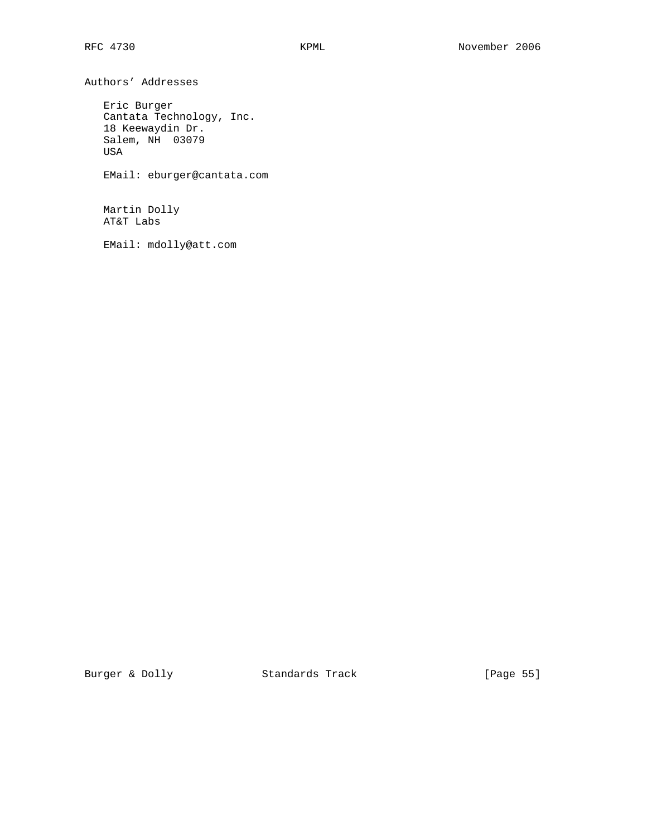Authors' Addresses Eric Burger

 Cantata Technology, Inc. 18 Keewaydin Dr. Salem, NH 03079 USA EMail: eburger@cantata.com

 Martin Dolly AT&T Labs

EMail: mdolly@att.com

Burger & Dolly **Standards Track** [Page 55]